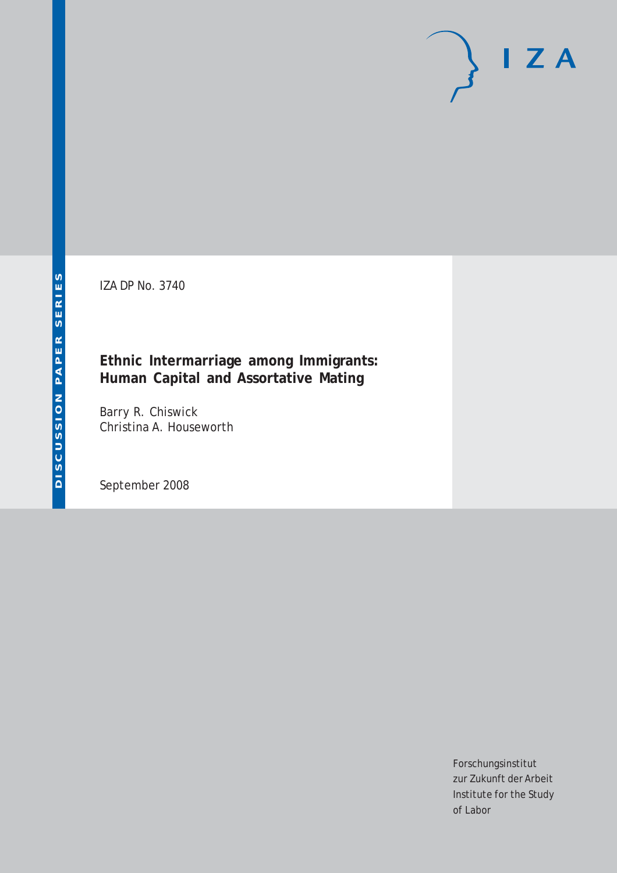IZA DP No. 3740

# **Ethnic Intermarriage among Immigrants: Human Capital and Assortative Mating**

Barry R. Chiswick Christina A. Houseworth

September 2008

Forschungsinstitut zur Zukunft der Arbeit Institute for the Study of Labor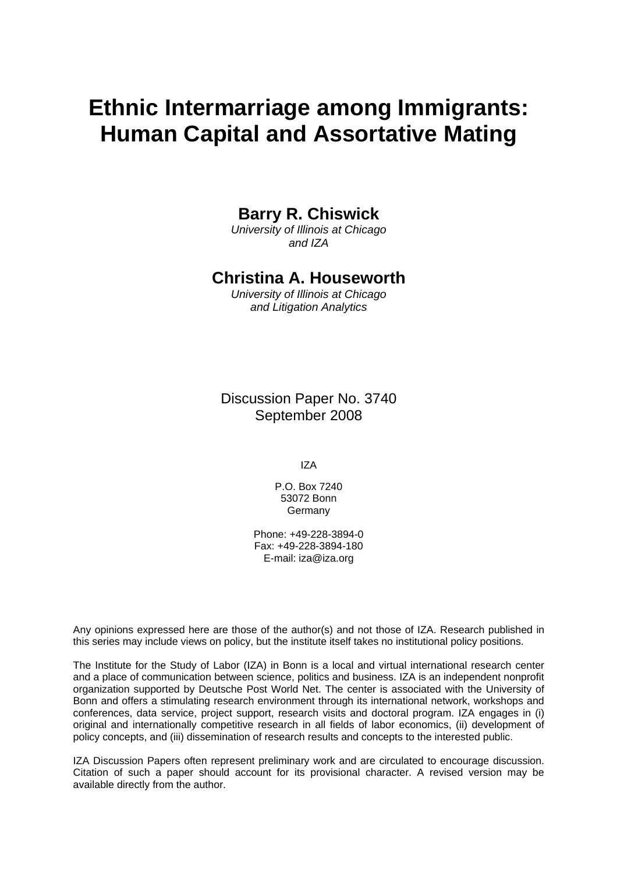# **Ethnic Intermarriage among Immigrants: Human Capital and Assortative Mating**

# **Barry R. Chiswick**

*University of Illinois at Chicago and IZA* 

# **Christina A. Houseworth**

*University of Illinois at Chicago and Litigation Analytics* 

Discussion Paper No. 3740 September 2008

IZA

P.O. Box 7240 53072 Bonn Germany

Phone: +49-228-3894-0 Fax: +49-228-3894-180 E-mail: [iza@iza.org](mailto:iza@iza.org)

Any opinions expressed here are those of the author(s) and not those of IZA. Research published in this series may include views on policy, but the institute itself takes no institutional policy positions.

The Institute for the Study of Labor (IZA) in Bonn is a local and virtual international research center and a place of communication between science, politics and business. IZA is an independent nonprofit organization supported by Deutsche Post World Net. The center is associated with the University of Bonn and offers a stimulating research environment through its international network, workshops and conferences, data service, project support, research visits and doctoral program. IZA engages in (i) original and internationally competitive research in all fields of labor economics, (ii) development of policy concepts, and (iii) dissemination of research results and concepts to the interested public.

IZA Discussion Papers often represent preliminary work and are circulated to encourage discussion. Citation of such a paper should account for its provisional character. A revised version may be available directly from the author.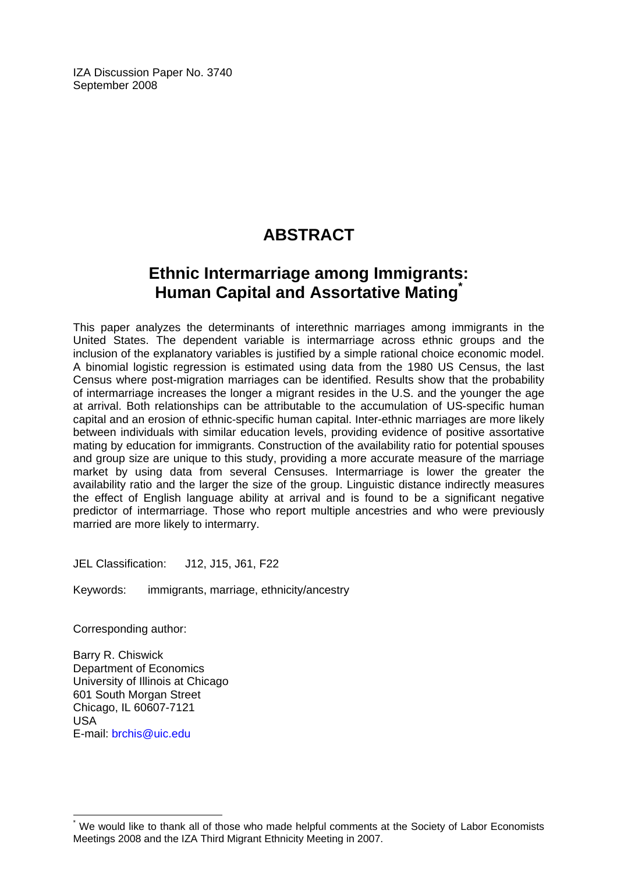IZA Discussion Paper No. 3740 September 2008

# **ABSTRACT**

# **Ethnic Intermarriage among Immigrants: Human Capital and Assortative Mating[\\*](#page-2-0)**

This paper analyzes the determinants of interethnic marriages among immigrants in the United States. The dependent variable is intermarriage across ethnic groups and the inclusion of the explanatory variables is justified by a simple rational choice economic model. A binomial logistic regression is estimated using data from the 1980 US Census, the last Census where post-migration marriages can be identified. Results show that the probability of intermarriage increases the longer a migrant resides in the U.S. and the younger the age at arrival. Both relationships can be attributable to the accumulation of US-specific human capital and an erosion of ethnic-specific human capital. Inter-ethnic marriages are more likely between individuals with similar education levels, providing evidence of positive assortative mating by education for immigrants. Construction of the availability ratio for potential spouses and group size are unique to this study, providing a more accurate measure of the marriage market by using data from several Censuses. Intermarriage is lower the greater the availability ratio and the larger the size of the group. Linguistic distance indirectly measures the effect of English language ability at arrival and is found to be a significant negative predictor of intermarriage. Those who report multiple ancestries and who were previously married are more likely to intermarry.

JEL Classification: J12, J15, J61, F22

Keywords: immigrants, marriage, ethnicity/ancestry

Corresponding author:

 $\overline{a}$ 

Barry R. Chiswick Department of Economics University of Illinois at Chicago 601 South Morgan Street Chicago, IL 60607-7121 USA E-mail: [brchis@uic.edu](mailto:brchis@uic.edu) 

<span id="page-2-0"></span><sup>\*</sup> We would like to thank all of those who made helpful comments at the Society of Labor Economists Meetings 2008 and the IZA Third Migrant Ethnicity Meeting in 2007.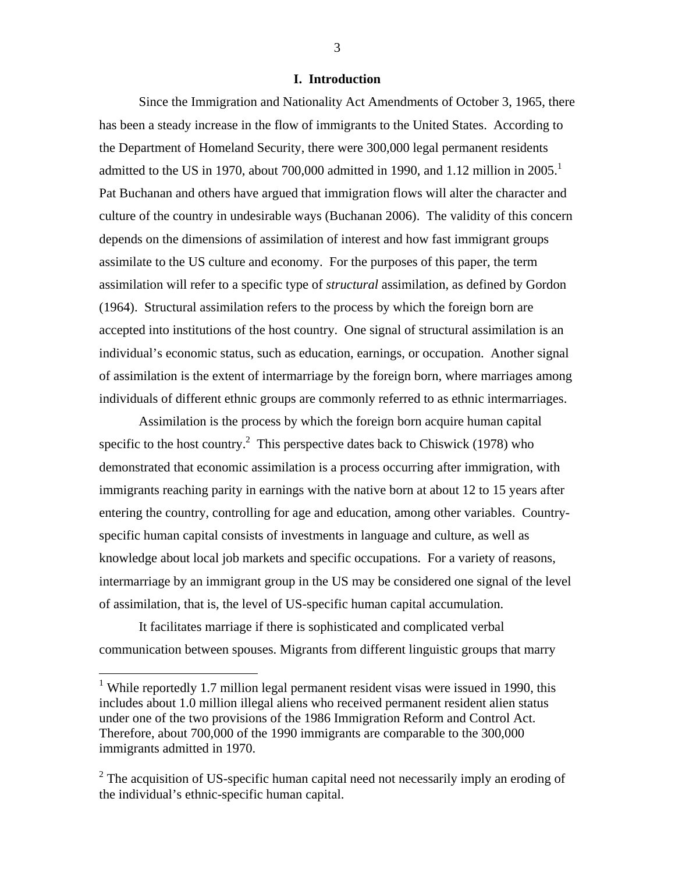#### **I. Introduction**

Since the Immigration and Nationality Act Amendments of October 3, 1965, there has been a steady increase in the flow of immigrants to the United States. According to the Department of Homeland Security, there were 300,000 legal permanent residents admittedto the US in 1970, about 700,000 admitted in 1990, and 1.12 million in 2005.<sup>1</sup> Pat Buchanan and others have argued that immigration flows will alter the character and culture of the country in undesirable ways (Buchanan 2006). The validity of this concern depends on the dimensions of assimilation of interest and how fast immigrant groups assimilate to the US culture and economy. For the purposes of this paper, the term assimilation will refer to a specific type of *structural* assimilation, as defined by Gordon (1964). Structural assimilation refers to the process by which the foreign born are accepted into institutions of the host country. One signal of structural assimilation is an individual's economic status, such as education, earnings, or occupation. Another signal of assimilation is the extent of intermarriage by the foreign born, where marriages among individuals of different ethnic groups are commonly referred to as ethnic intermarriages.

Assimilation is the process by which the foreign born acquire human capital specific to the host country.<sup>2</sup> This perspective dates back to Chiswick (1978) who demonstrated that economic assimilation is a process occurring after immigration, with immigrants reaching parity in earnings with the native born at about 12 to 15 years after entering the country, controlling for age and education, among other variables. Countryspecific human capital consists of investments in language and culture, as well as knowledge about local job markets and specific occupations. For a variety of reasons, intermarriage by an immigrant group in the US may be considered one signal of the level of assimilation, that is, the level of US-specific human capital accumulation.

It facilitates marriage if there is sophisticated and complicated verbal communication between spouses. Migrants from different linguistic groups that marry

1

<span id="page-3-0"></span><sup>&</sup>lt;sup>1</sup> While reportedly 1.7 million legal permanent resident visas were issued in 1990, this includes about 1.0 million illegal aliens who received permanent resident alien status under one of the two provisions of the 1986 Immigration Reform and Control Act. Therefore, about 700,000 of the 1990 immigrants are comparable to the 300,000 immigrants admitted in 1970.

<span id="page-3-1"></span> $2^2$  The acquisition of US-specific human capital need not necessarily imply an eroding of the individual's ethnic-specific human capital.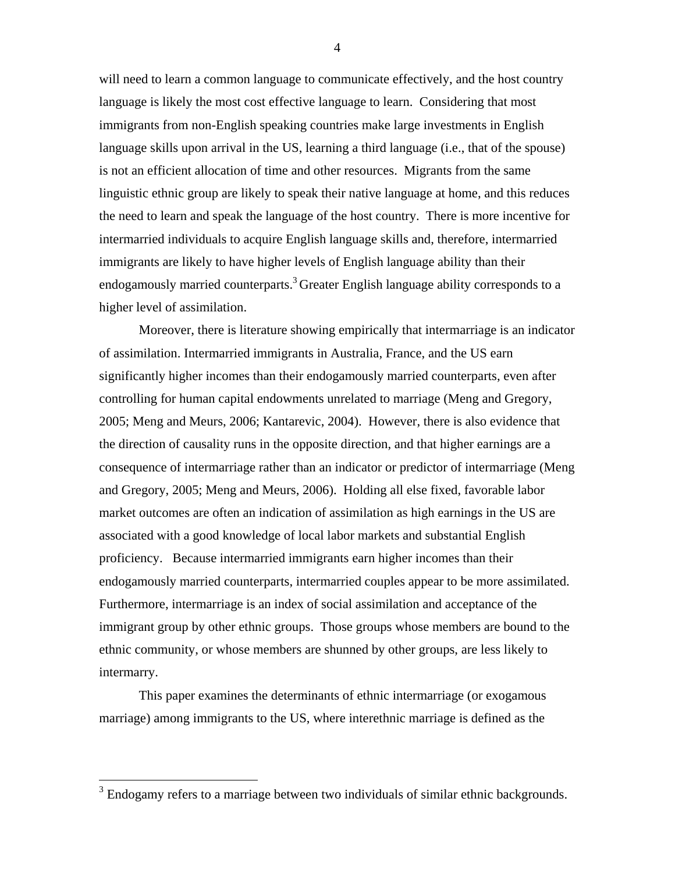will need to learn a common language to communicate effectively, and the host country language is likely the most cost effective language to learn. Considering that most immigrants from non-English speaking countries make large investments in English language skills upon arrival in the US, learning a third language (i.e., that of the spouse) is not an efficient allocation of time and other resources. Migrants from the same linguistic ethnic group are likely to speak their native language at home, and this reduces the need to learn and speak the language of the host country. There is more incentive for intermarried individuals to acquire English language skills and, therefore, intermarried immigrants are likely to have higher levels of English language ability than their endogamously married counterparts.<sup>3</sup> Greater English language ability corresponds to a higher level of assimilation.

Moreover, there is literature showing empirically that intermarriage is an indicator of assimilation. Intermarried immigrants in Australia, France, and the US earn significantly higher incomes than their endogamously married counterparts, even after controlling for human capital endowments unrelated to marriage (Meng and Gregory, 2005; Meng and Meurs, 2006; Kantarevic, 2004). However, there is also evidence that the direction of causality runs in the opposite direction, and that higher earnings are a consequence of intermarriage rather than an indicator or predictor of intermarriage (Meng and Gregory, 2005; Meng and Meurs, 2006). Holding all else fixed, favorable labor market outcomes are often an indication of assimilation as high earnings in the US are associated with a good knowledge of local labor markets and substantial English proficiency. Because intermarried immigrants earn higher incomes than their endogamously married counterparts, intermarried couples appear to be more assimilated. Furthermore, intermarriage is an index of social assimilation and acceptance of the immigrant group by other ethnic groups. Those groups whose members are bound to the ethnic community, or whose members are shunned by other groups, are less likely to intermarry.

This paper examines the determinants of ethnic intermarriage (or exogamous marriage) among immigrants to the US, where interethnic marriage is defined as the

1

<span id="page-4-0"></span> $3$  Endogamy refers to a marriage between two individuals of similar ethnic backgrounds.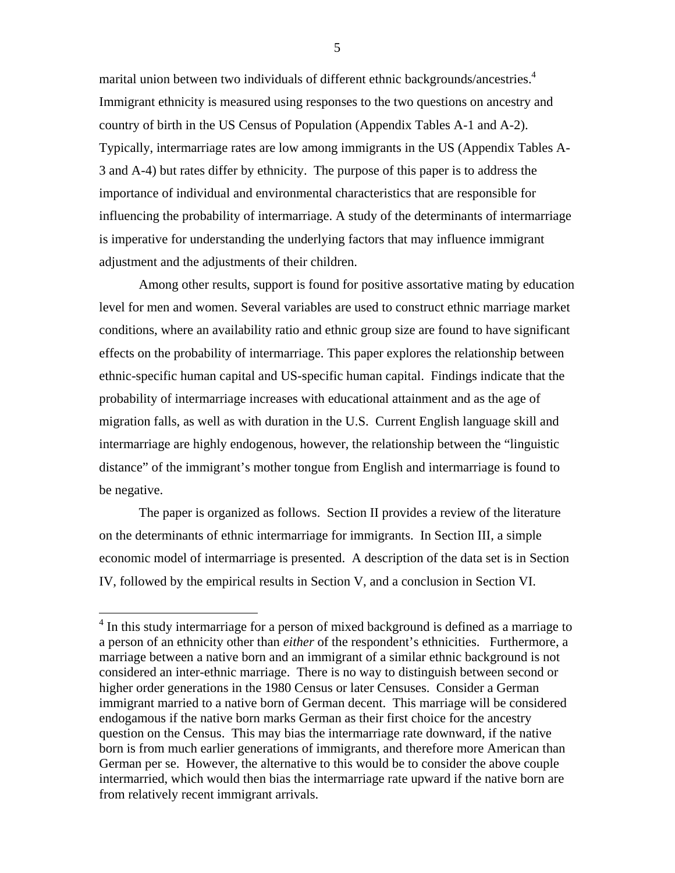marital union between two individuals of different ethnic backgrounds/ancestries.<sup>4</sup> Immigrant ethnicity is measured using responses to the two questions on ancestry and country of birth in the US Census of Population (Appendix Tables A-1 and A-2). Typically, intermarriage rates are low among immigrants in the US (Appendix Tables A-3 and A-4) but rates differ by ethnicity. The purpose of this paper is to address the importance of individual and environmental characteristics that are responsible for influencing the probability of intermarriage. A study of the determinants of intermarriage is imperative for understanding the underlying factors that may influence immigrant adjustment and the adjustments of their children.

Among other results, support is found for positive assortative mating by education level for men and women. Several variables are used to construct ethnic marriage market conditions, where an availability ratio and ethnic group size are found to have significant effects on the probability of intermarriage. This paper explores the relationship between ethnic-specific human capital and US-specific human capital. Findings indicate that the probability of intermarriage increases with educational attainment and as the age of migration falls, as well as with duration in the U.S. Current English language skill and intermarriage are highly endogenous, however, the relationship between the "linguistic distance" of the immigrant's mother tongue from English and intermarriage is found to be negative.

The paper is organized as follows. Section II provides a review of the literature on the determinants of ethnic intermarriage for immigrants. In Section III, a simple economic model of intermarriage is presented. A description of the data set is in Section IV, followed by the empirical results in Section V, and a conclusion in Section VI.

<span id="page-5-0"></span><sup>&</sup>lt;sup>4</sup> In this study intermarriage for a person of mixed background is defined as a marriage to a person of an ethnicity other than *either* of the respondent's ethnicities. Furthermore, a marriage between a native born and an immigrant of a similar ethnic background is not considered an inter-ethnic marriage. There is no way to distinguish between second or higher order generations in the 1980 Census or later Censuses. Consider a German immigrant married to a native born of German decent. This marriage will be considered endogamous if the native born marks German as their first choice for the ancestry question on the Census. This may bias the intermarriage rate downward, if the native born is from much earlier generations of immigrants, and therefore more American than German per se. However, the alternative to this would be to consider the above couple intermarried, which would then bias the intermarriage rate upward if the native born are from relatively recent immigrant arrivals.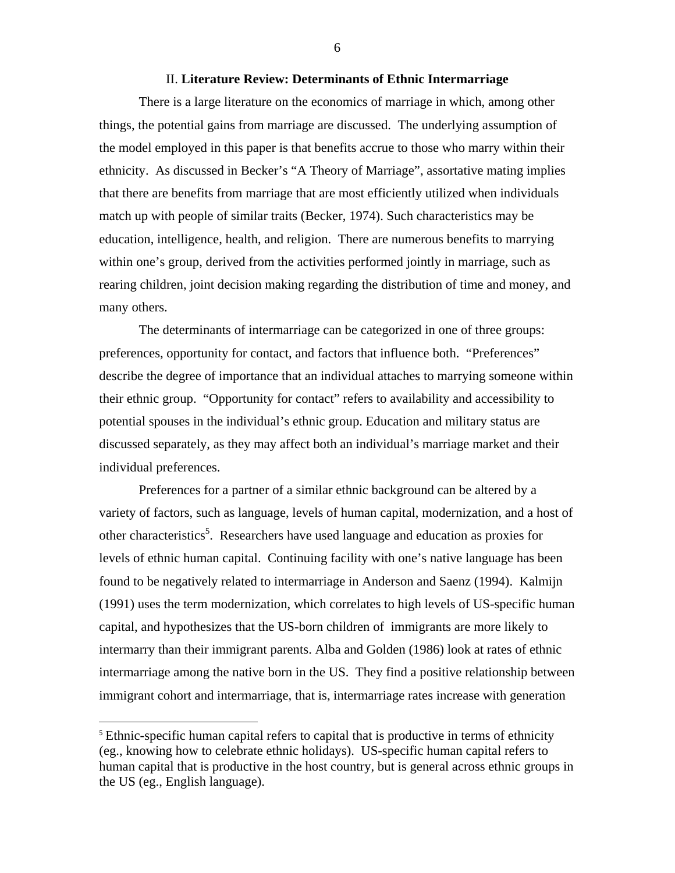#### II. **Literature Review: Determinants of Ethnic Intermarriage**

There is a large literature on the economics of marriage in which, among other things, the potential gains from marriage are discussed. The underlying assumption of the model employed in this paper is that benefits accrue to those who marry within their ethnicity. As discussed in Becker's "A Theory of Marriage", assortative mating implies that there are benefits from marriage that are most efficiently utilized when individuals match up with people of similar traits (Becker, 1974). Such characteristics may be education, intelligence, health, and religion. There are numerous benefits to marrying within one's group, derived from the activities performed jointly in marriage, such as rearing children, joint decision making regarding the distribution of time and money, and many others.

The determinants of intermarriage can be categorized in one of three groups: preferences, opportunity for contact, and factors that influence both. "Preferences" describe the degree of importance that an individual attaches to marrying someone within their ethnic group. "Opportunity for contact" refers to availability and accessibility to potential spouses in the individual's ethnic group. Education and military status are discussed separately, as they may affect both an individual's marriage market and their individual preferences.

Preferences for a partner of a similar ethnic background can be altered by a variety of factors, such as language, levels of human capital, modernization, and a host of other characteristics<sup>5</sup>. Researchers have used language and education as proxies for levels of ethnic human capital. Continuing facility with one's native language has been found to be negatively related to intermarriage in Anderson and Saenz (1994). Kalmijn (1991) uses the term modernization, which correlates to high levels of US-specific human capital, and hypothesizes that the US-born children of immigrants are more likely to intermarry than their immigrant parents. Alba and Golden (1986) look at rates of ethnic intermarriage among the native born in the US. They find a positive relationship between immigrant cohort and intermarriage, that is, intermarriage rates increase with generation

 $\overline{a}$ 

<span id="page-6-0"></span> $5$  Ethnic-specific human capital refers to capital that is productive in terms of ethnicity (eg., knowing how to celebrate ethnic holidays). US-specific human capital refers to human capital that is productive in the host country, but is general across ethnic groups in the US (eg., English language).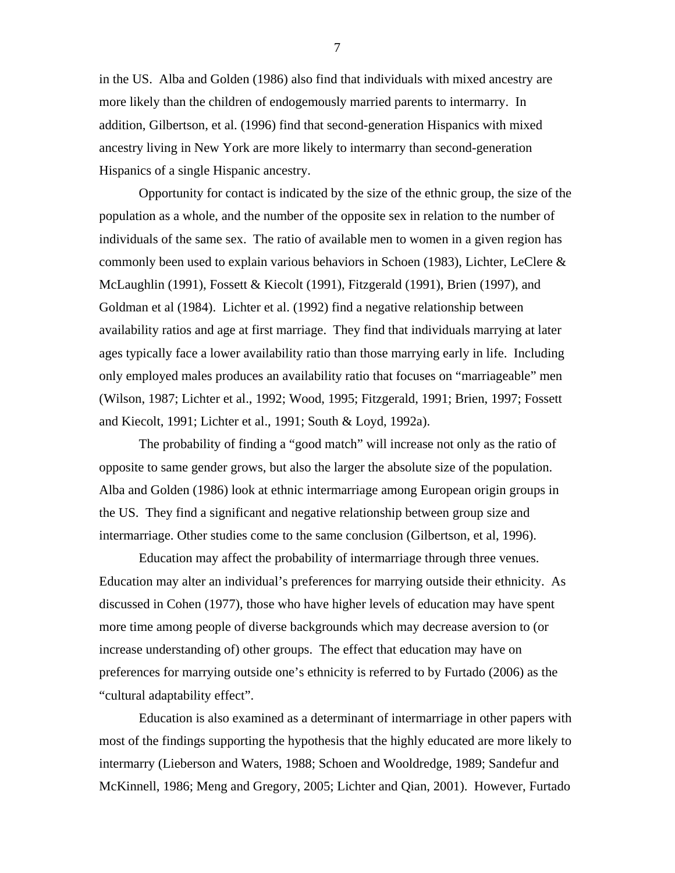in the US. Alba and Golden (1986) also find that individuals with mixed ancestry are more likely than the children of endogemously married parents to intermarry. In addition, Gilbertson, et al. (1996) find that second-generation Hispanics with mixed ancestry living in New York are more likely to intermarry than second-generation Hispanics of a single Hispanic ancestry.

Opportunity for contact is indicated by the size of the ethnic group, the size of the population as a whole, and the number of the opposite sex in relation to the number of individuals of the same sex. The ratio of available men to women in a given region has commonly been used to explain various behaviors in Schoen (1983), Lichter, LeClere  $\&$ McLaughlin (1991), Fossett & Kiecolt (1991), Fitzgerald (1991), Brien (1997), and Goldman et al (1984). Lichter et al. (1992) find a negative relationship between availability ratios and age at first marriage. They find that individuals marrying at later ages typically face a lower availability ratio than those marrying early in life. Including only employed males produces an availability ratio that focuses on "marriageable" men (Wilson, 1987; Lichter et al., 1992; Wood, 1995; Fitzgerald, 1991; Brien, 1997; Fossett and Kiecolt, 1991; Lichter et al., 1991; South & Loyd, 1992a).

The probability of finding a "good match" will increase not only as the ratio of opposite to same gender grows, but also the larger the absolute size of the population. Alba and Golden (1986) look at ethnic intermarriage among European origin groups in the US. They find a significant and negative relationship between group size and intermarriage. Other studies come to the same conclusion (Gilbertson, et al, 1996).

Education may affect the probability of intermarriage through three venues. Education may alter an individual's preferences for marrying outside their ethnicity. As discussed in Cohen (1977), those who have higher levels of education may have spent more time among people of diverse backgrounds which may decrease aversion to (or increase understanding of) other groups. The effect that education may have on preferences for marrying outside one's ethnicity is referred to by Furtado (2006) as the "cultural adaptability effect".

Education is also examined as a determinant of intermarriage in other papers with most of the findings supporting the hypothesis that the highly educated are more likely to intermarry (Lieberson and Waters, 1988; Schoen and Wooldredge, 1989; Sandefur and McKinnell, 1986; Meng and Gregory, 2005; Lichter and Qian, 2001). However, Furtado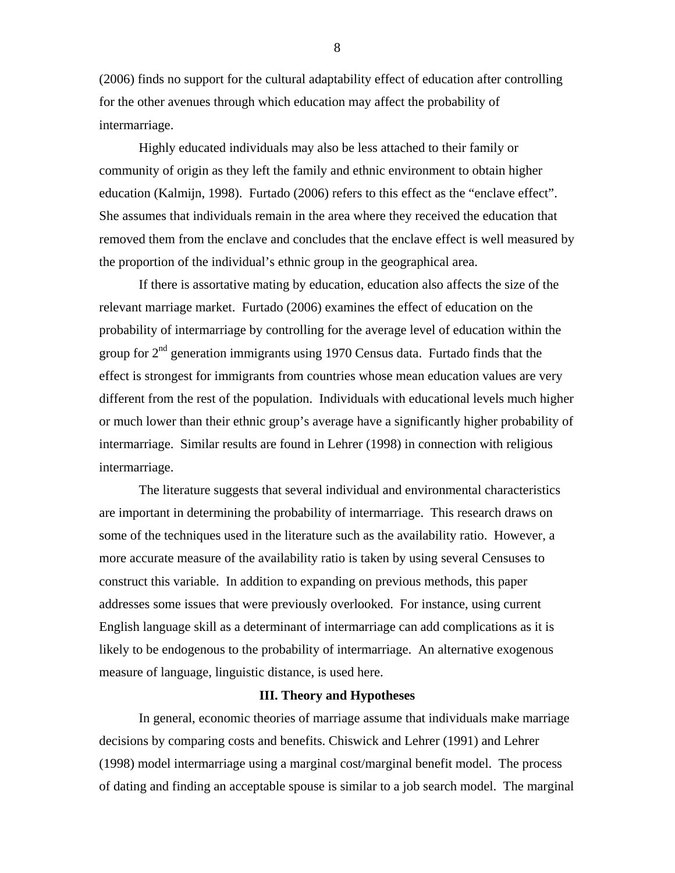(2006) finds no support for the cultural adaptability effect of education after controlling for the other avenues through which education may affect the probability of intermarriage.

Highly educated individuals may also be less attached to their family or community of origin as they left the family and ethnic environment to obtain higher education (Kalmijn, 1998). Furtado (2006) refers to this effect as the "enclave effect". She assumes that individuals remain in the area where they received the education that removed them from the enclave and concludes that the enclave effect is well measured by the proportion of the individual's ethnic group in the geographical area.

If there is assortative mating by education, education also affects the size of the relevant marriage market. Furtado (2006) examines the effect of education on the probability of intermarriage by controlling for the average level of education within the group for  $2<sup>nd</sup>$  generation immigrants using 1970 Census data. Furtado finds that the effect is strongest for immigrants from countries whose mean education values are very different from the rest of the population. Individuals with educational levels much higher or much lower than their ethnic group's average have a significantly higher probability of intermarriage. Similar results are found in Lehrer (1998) in connection with religious intermarriage.

The literature suggests that several individual and environmental characteristics are important in determining the probability of intermarriage. This research draws on some of the techniques used in the literature such as the availability ratio. However, a more accurate measure of the availability ratio is taken by using several Censuses to construct this variable. In addition to expanding on previous methods, this paper addresses some issues that were previously overlooked. For instance, using current English language skill as a determinant of intermarriage can add complications as it is likely to be endogenous to the probability of intermarriage. An alternative exogenous measure of language, linguistic distance, is used here.

#### **III. Theory and Hypotheses**

In general, economic theories of marriage assume that individuals make marriage decisions by comparing costs and benefits. Chiswick and Lehrer (1991) and Lehrer (1998) model intermarriage using a marginal cost/marginal benefit model. The process of dating and finding an acceptable spouse is similar to a job search model. The marginal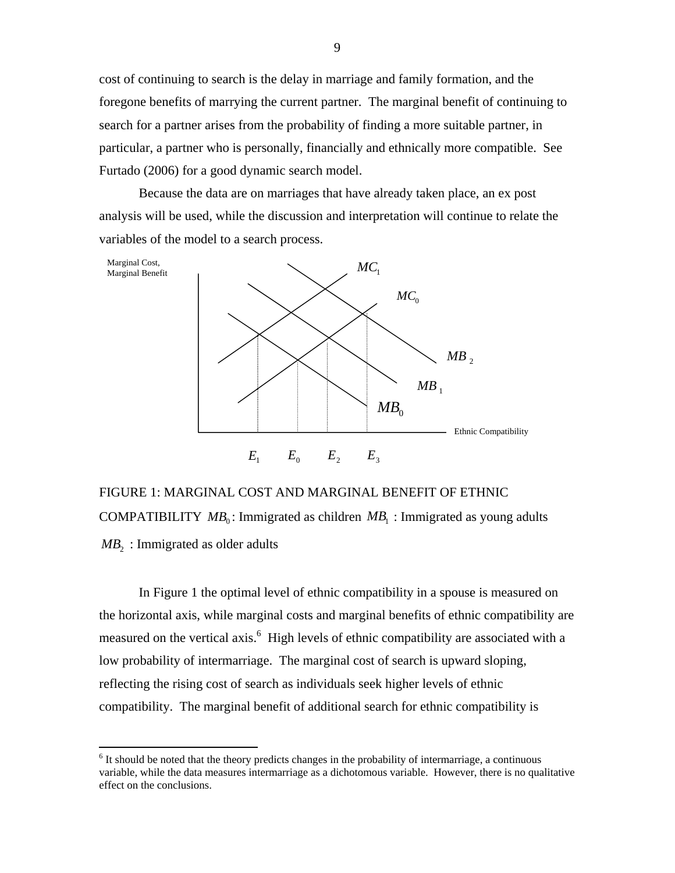cost of continuing to search is the delay in marriage and family formation, and the foregone benefits of marrying the current partner. The marginal benefit of continuing to search for a partner arises from the probability of finding a more suitable partner, in particular, a partner who is personally, financially and ethnically more compatible. See Furtado (2006) for a good dynamic search model.

Because the data are on marriages that have already taken place, an ex post analysis will be used, while the discussion and interpretation will continue to relate the variables of the model to a search process.



FIGURE 1: MARGINAL COST AND MARGINAL BENEFIT OF ETHNIC COMPATIBILITY  $MB_0$ : Immigrated as children  $MB_1$ : Immigrated as young adults  $MB<sub>2</sub>$ : Immigrated as older adults

In Figure 1 the optimal level of ethnic compatibility in a spouse is measured on the horizontal axis, while marginal costs and marginal benefits of ethnic compatibility are measured on the vertical axis.<sup>[6](#page-9-0)</sup> High levels of ethnic compatibility are associated with a low probability of intermarriage. The marginal cost of search is upward sloping, reflecting the rising cost of search as individuals seek higher levels of ethnic compatibility. The marginal benefit of additional search for ethnic compatibility is

 $\overline{a}$ 

<span id="page-9-0"></span> $6$  It should be noted that the theory predicts changes in the probability of intermarriage, a continuous variable, while the data measures intermarriage as a dichotomous variable. However, there is no qualitative effect on the conclusions.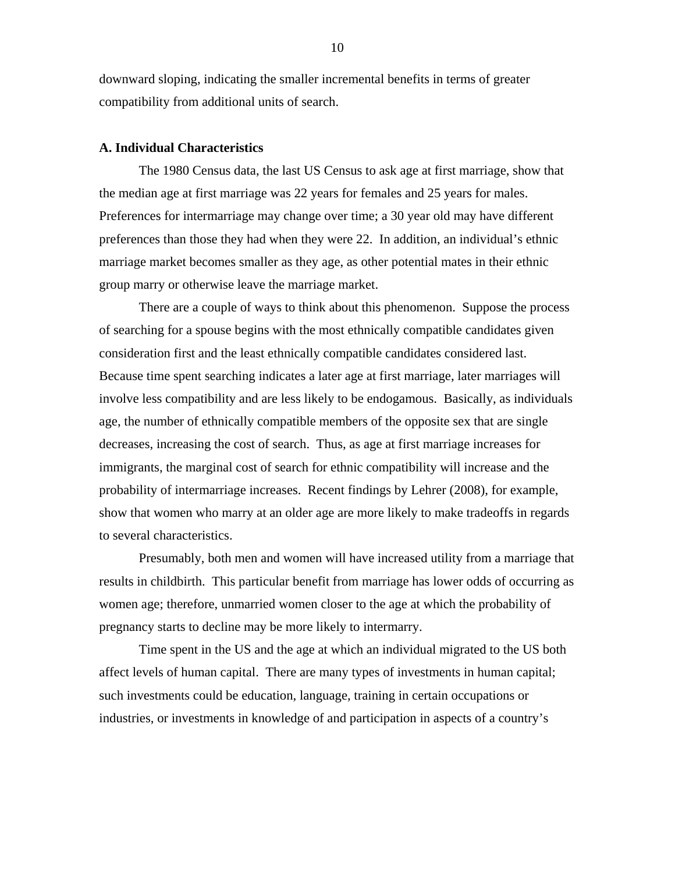downward sloping, indicating the smaller incremental benefits in terms of greater compatibility from additional units of search.

#### **A. Individual Characteristics**

The 1980 Census data, the last US Census to ask age at first marriage, show that the median age at first marriage was 22 years for females and 25 years for males. Preferences for intermarriage may change over time; a 30 year old may have different preferences than those they had when they were 22. In addition, an individual's ethnic marriage market becomes smaller as they age, as other potential mates in their ethnic group marry or otherwise leave the marriage market.

There are a couple of ways to think about this phenomenon. Suppose the process of searching for a spouse begins with the most ethnically compatible candidates given consideration first and the least ethnically compatible candidates considered last. Because time spent searching indicates a later age at first marriage, later marriages will involve less compatibility and are less likely to be endogamous. Basically, as individuals age, the number of ethnically compatible members of the opposite sex that are single decreases, increasing the cost of search. Thus, as age at first marriage increases for immigrants, the marginal cost of search for ethnic compatibility will increase and the probability of intermarriage increases. Recent findings by Lehrer (2008), for example, show that women who marry at an older age are more likely to make tradeoffs in regards to several characteristics.

Presumably, both men and women will have increased utility from a marriage that results in childbirth. This particular benefit from marriage has lower odds of occurring as women age; therefore, unmarried women closer to the age at which the probability of pregnancy starts to decline may be more likely to intermarry.

Time spent in the US and the age at which an individual migrated to the US both affect levels of human capital. There are many types of investments in human capital; such investments could be education, language, training in certain occupations or industries, or investments in knowledge of and participation in aspects of a country's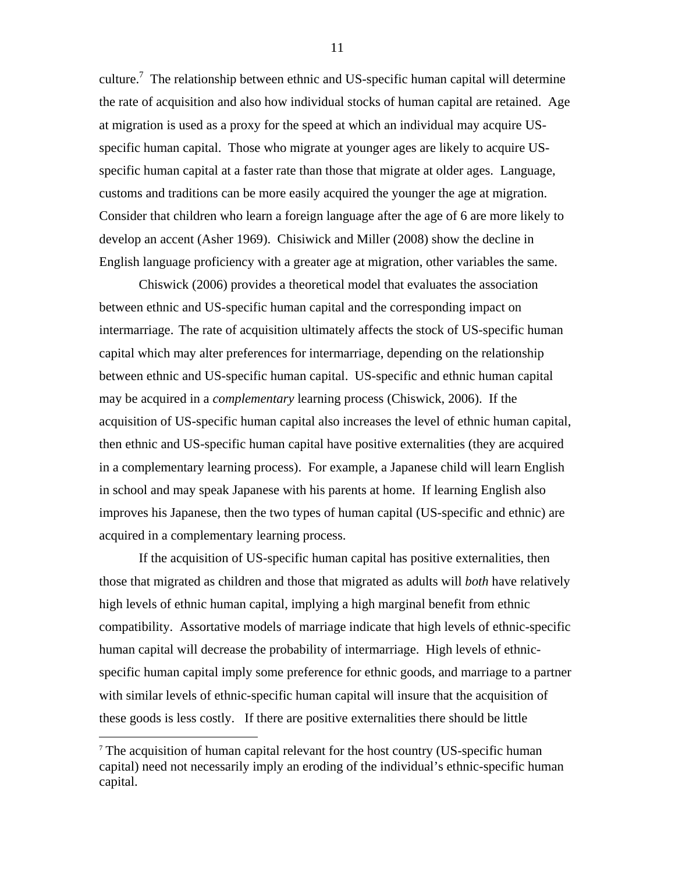culture.<sup>7</sup> The relationship between ethnic and US-specific human capital will determine the rate of acquisition and also how individual stocks of human capital are retained. Age at migration is used as a proxy for the speed at which an individual may acquire USspecific human capital. Those who migrate at younger ages are likely to acquire USspecific human capital at a faster rate than those that migrate at older ages. Language, customs and traditions can be more easily acquired the younger the age at migration. Consider that children who learn a foreign language after the age of 6 are more likely to develop an accent (Asher 1969). Chisiwick and Miller (2008) show the decline in English language proficiency with a greater age at migration, other variables the same.

Chiswick (2006) provides a theoretical model that evaluates the association between ethnic and US-specific human capital and the corresponding impact on intermarriage. The rate of acquisition ultimately affects the stock of US-specific human capital which may alter preferences for intermarriage, depending on the relationship between ethnic and US-specific human capital. US-specific and ethnic human capital may be acquired in a *complementary* learning process (Chiswick, 2006). If the acquisition of US-specific human capital also increases the level of ethnic human capital, then ethnic and US-specific human capital have positive externalities (they are acquired in a complementary learning process). For example, a Japanese child will learn English in school and may speak Japanese with his parents at home. If learning English also improves his Japanese, then the two types of human capital (US-specific and ethnic) are acquired in a complementary learning process.

If the acquisition of US-specific human capital has positive externalities, then those that migrated as children and those that migrated as adults will *both* have relatively high levels of ethnic human capital, implying a high marginal benefit from ethnic compatibility. Assortative models of marriage indicate that high levels of ethnic-specific human capital will decrease the probability of intermarriage. High levels of ethnicspecific human capital imply some preference for ethnic goods, and marriage to a partner with similar levels of ethnic-specific human capital will insure that the acquisition of these goods is less costly. If there are positive externalities there should be little

 $\overline{a}$ 

<span id="page-11-0"></span><sup>7</sup> The acquisition of human capital relevant for the host country (US-specific human capital) need not necessarily imply an eroding of the individual's ethnic-specific human capital.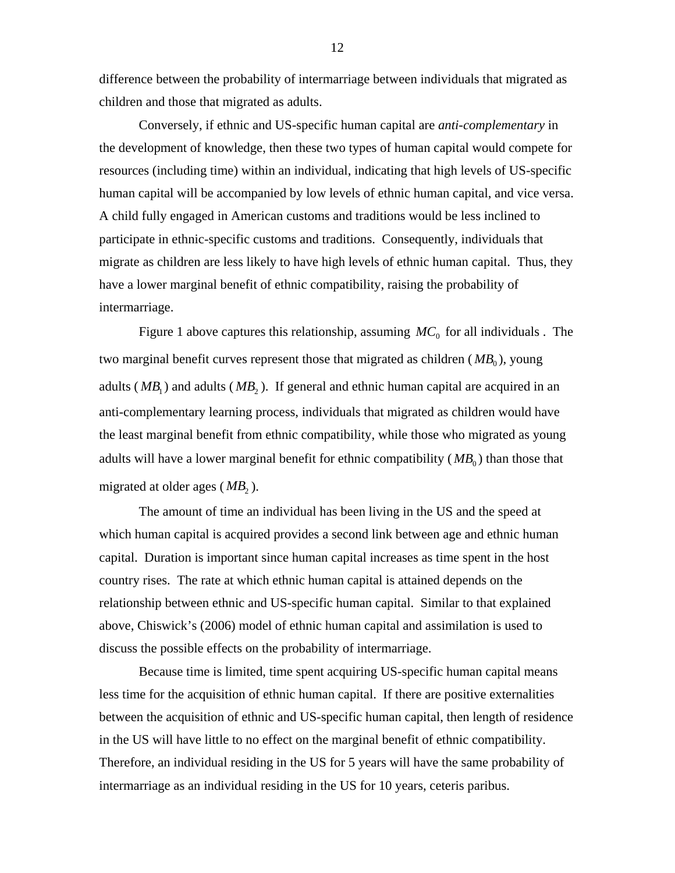difference between the probability of intermarriage between individuals that migrated as children and those that migrated as adults.

Conversely, if ethnic and US-specific human capital are *anti-complementary* in the development of knowledge, then these two types of human capital would compete for resources (including time) within an individual, indicating that high levels of US-specific human capital will be accompanied by low levels of ethnic human capital, and vice versa. A child fully engaged in American customs and traditions would be less inclined to participate in ethnic-specific customs and traditions. Consequently, individuals that migrate as children are less likely to have high levels of ethnic human capital. Thus, they have a lower marginal benefit of ethnic compatibility, raising the probability of intermarriage.

Figure 1 above captures this relationship, assuming  $MC_0$  for all individuals. The two marginal benefit curves represent those that migrated as children  $(MB_0)$ , young adults ( $MB_1$ ) and adults ( $MB_2$ ). If general and ethnic human capital are acquired in an anti-complementary learning process, individuals that migrated as children would have the least marginal benefit from ethnic compatibility, while those who migrated as young adults will have a lower marginal benefit for ethnic compatibility  $(MB_0)$  than those that migrated at older ages  $(MB_2)$ .

The amount of time an individual has been living in the US and the speed at which human capital is acquired provides a second link between age and ethnic human capital. Duration is important since human capital increases as time spent in the host country rises. The rate at which ethnic human capital is attained depends on the relationship between ethnic and US-specific human capital. Similar to that explained above, Chiswick's (2006) model of ethnic human capital and assimilation is used to discuss the possible effects on the probability of intermarriage.

Because time is limited, time spent acquiring US-specific human capital means less time for the acquisition of ethnic human capital. If there are positive externalities between the acquisition of ethnic and US-specific human capital, then length of residence in the US will have little to no effect on the marginal benefit of ethnic compatibility. Therefore, an individual residing in the US for 5 years will have the same probability of intermarriage as an individual residing in the US for 10 years, ceteris paribus.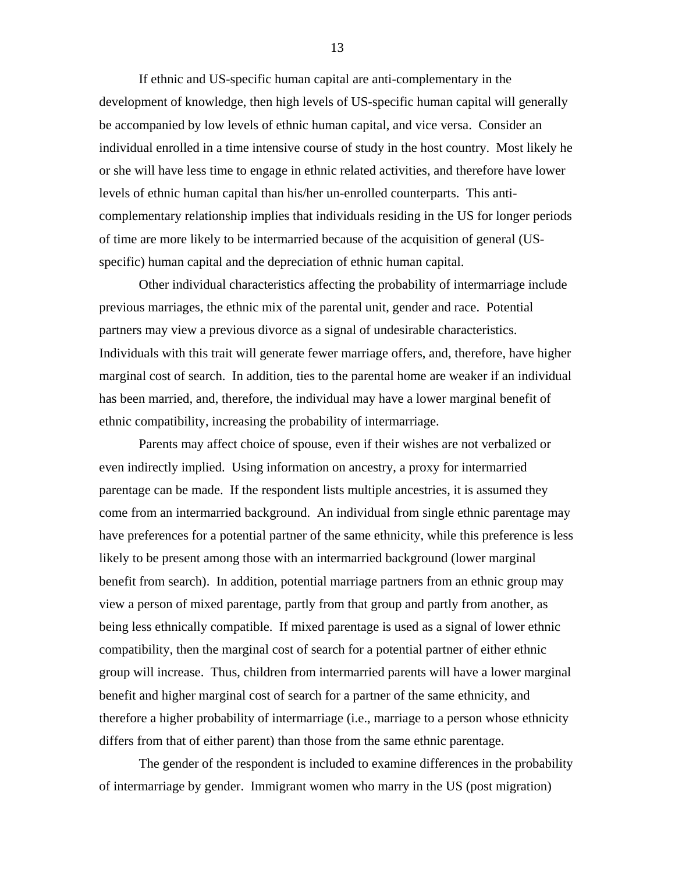If ethnic and US-specific human capital are anti-complementary in the development of knowledge, then high levels of US-specific human capital will generally be accompanied by low levels of ethnic human capital, and vice versa. Consider an individual enrolled in a time intensive course of study in the host country. Most likely he or she will have less time to engage in ethnic related activities, and therefore have lower levels of ethnic human capital than his/her un-enrolled counterparts. This anticomplementary relationship implies that individuals residing in the US for longer periods of time are more likely to be intermarried because of the acquisition of general (USspecific) human capital and the depreciation of ethnic human capital.

Other individual characteristics affecting the probability of intermarriage include previous marriages, the ethnic mix of the parental unit, gender and race. Potential partners may view a previous divorce as a signal of undesirable characteristics. Individuals with this trait will generate fewer marriage offers, and, therefore, have higher marginal cost of search. In addition, ties to the parental home are weaker if an individual has been married, and, therefore, the individual may have a lower marginal benefit of ethnic compatibility, increasing the probability of intermarriage.

Parents may affect choice of spouse, even if their wishes are not verbalized or even indirectly implied. Using information on ancestry, a proxy for intermarried parentage can be made. If the respondent lists multiple ancestries, it is assumed they come from an intermarried background. An individual from single ethnic parentage may have preferences for a potential partner of the same ethnicity, while this preference is less likely to be present among those with an intermarried background (lower marginal benefit from search). In addition, potential marriage partners from an ethnic group may view a person of mixed parentage, partly from that group and partly from another, as being less ethnically compatible. If mixed parentage is used as a signal of lower ethnic compatibility, then the marginal cost of search for a potential partner of either ethnic group will increase. Thus, children from intermarried parents will have a lower marginal benefit and higher marginal cost of search for a partner of the same ethnicity, and therefore a higher probability of intermarriage (i.e., marriage to a person whose ethnicity differs from that of either parent) than those from the same ethnic parentage.

The gender of the respondent is included to examine differences in the probability of intermarriage by gender. Immigrant women who marry in the US (post migration)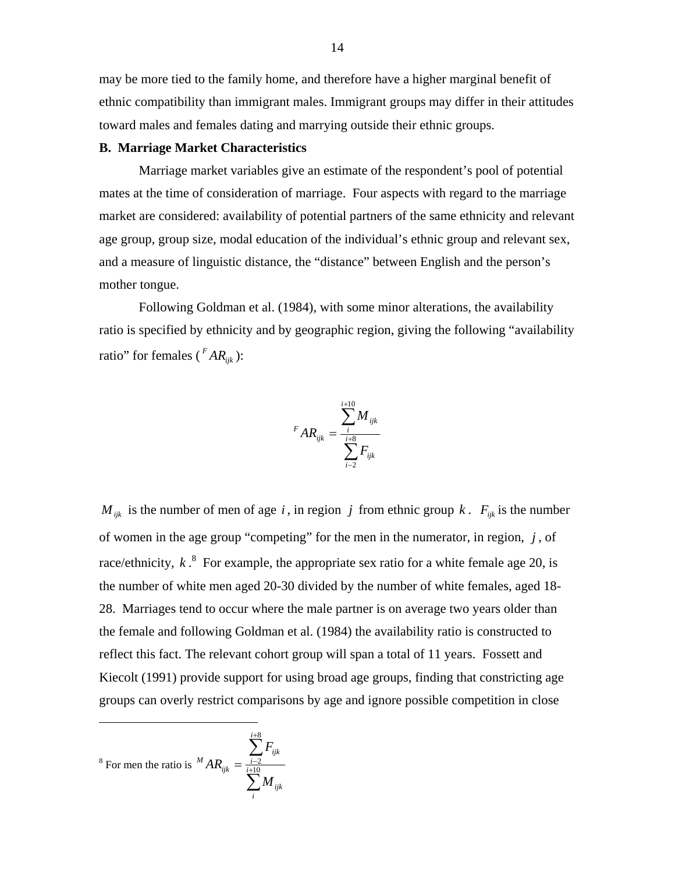may be more tied to the family home, and therefore have a higher marginal benefit of ethnic compatibility than immigrant males. Immigrant groups may differ in their attitudes toward males and females dating and marrying outside their ethnic groups.

#### **B. Marriage Market Characteristics**

Marriage market variables give an estimate of the respondent's pool of potential mates at the time of consideration of marriage. Four aspects with regard to the marriage market are considered: availability of potential partners of the same ethnicity and relevant age group, group size, modal education of the individual's ethnic group and relevant sex, and a measure of linguistic distance, the "distance" between English and the person's mother tongue.

Following Goldman et al. (1984), with some minor alterations, the availability ratio is specified by ethnicity and by geographic region, giving the following "availability ratio" for females ( $^FAR_{ijk}$ ):

$$
{}^{F}AR_{ijk} = \frac{\sum_{i=1}^{i+10} M_{ijk}}{\sum_{i=2}^{i+8} F_{ijk}}
$$

 $M_{ijk}$  is the number of men of age *i*, in region *j* from ethnic group *k*.  $F_{ijk}$  is the number of women in the age group "competing" for the men in the numerator, in region,  $j$ , of race/ethnicity,  $k<sup>8</sup>$  $k<sup>8</sup>$  $k<sup>8</sup>$  For example, the appropriate sex ratio for a white female age 20, is the number of white men aged 20-30 divided by the number of white females, aged 18- 28. Marriages tend to occur where the male partner is on average two years older than the female and following Goldman et al. (1984) the availability ratio is constructed to reflect this fact. The relevant cohort group will span a total of 11 years. Fossett and Kiecolt (1991) provide support for using broad age groups, finding that constricting age groups can overly restrict comparisons by age and ignore possible competition in close

<span id="page-14-0"></span><sup>8</sup> For men the ratio is 
$$
^{M}AR_{ijk} = \frac{\sum_{i=2}^{i+8} F_{ijk}}{\sum_{i=1}^{N} M_{ijk}}
$$

<u>.</u>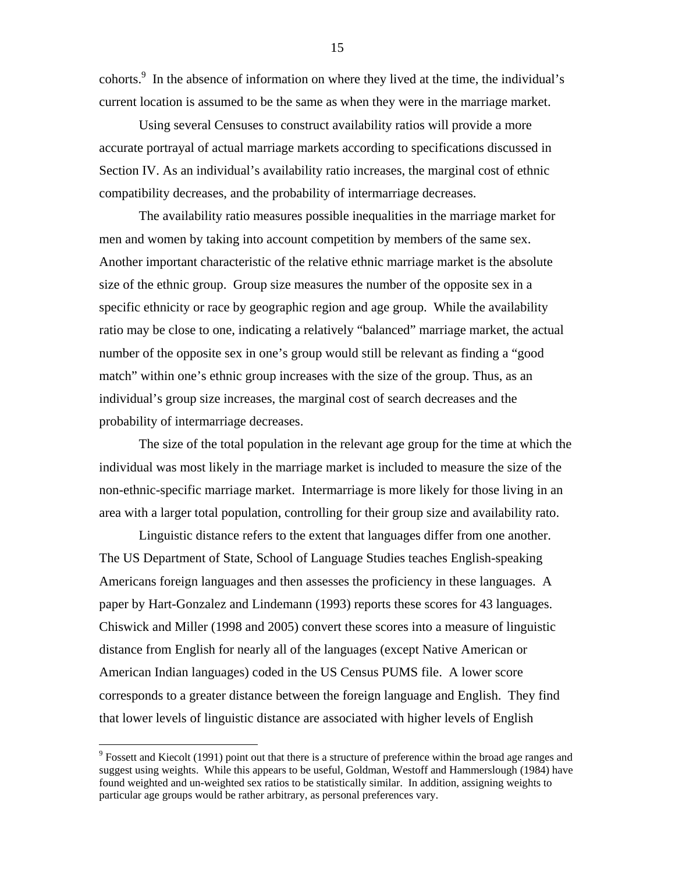cohorts.<sup>9</sup> In the absence of information on where they lived at the time, the individual's current location is assumed to be the same as when they were in the marriage market.

Using several Censuses to construct availability ratios will provide a more accurate portrayal of actual marriage markets according to specifications discussed in Section IV. As an individual's availability ratio increases, the marginal cost of ethnic compatibility decreases, and the probability of intermarriage decreases.

The availability ratio measures possible inequalities in the marriage market for men and women by taking into account competition by members of the same sex. Another important characteristic of the relative ethnic marriage market is the absolute size of the ethnic group. Group size measures the number of the opposite sex in a specific ethnicity or race by geographic region and age group. While the availability ratio may be close to one, indicating a relatively "balanced" marriage market, the actual number of the opposite sex in one's group would still be relevant as finding a "good match" within one's ethnic group increases with the size of the group. Thus, as an individual's group size increases, the marginal cost of search decreases and the probability of intermarriage decreases.

The size of the total population in the relevant age group for the time at which the individual was most likely in the marriage market is included to measure the size of the non-ethnic-specific marriage market. Intermarriage is more likely for those living in an area with a larger total population, controlling for their group size and availability rato.

Linguistic distance refers to the extent that languages differ from one another. The US Department of State, School of Language Studies teaches English-speaking Americans foreign languages and then assesses the proficiency in these languages. A paper by Hart-Gonzalez and Lindemann (1993) reports these scores for 43 languages. Chiswick and Miller (1998 and 2005) convert these scores into a measure of linguistic distance from English for nearly all of the languages (except Native American or American Indian languages) coded in the US Census PUMS file. A lower score corresponds to a greater distance between the foreign language and English. They find that lower levels of linguistic distance are associated with higher levels of English

 $\overline{a}$ 

<span id="page-15-0"></span> $9$  Fossett and Kiecolt (1991) point out that there is a structure of preference within the broad age ranges and suggest using weights. While this appears to be useful, Goldman, Westoff and Hammerslough (1984) have found weighted and un-weighted sex ratios to be statistically similar. In addition, assigning weights to particular age groups would be rather arbitrary, as personal preferences vary.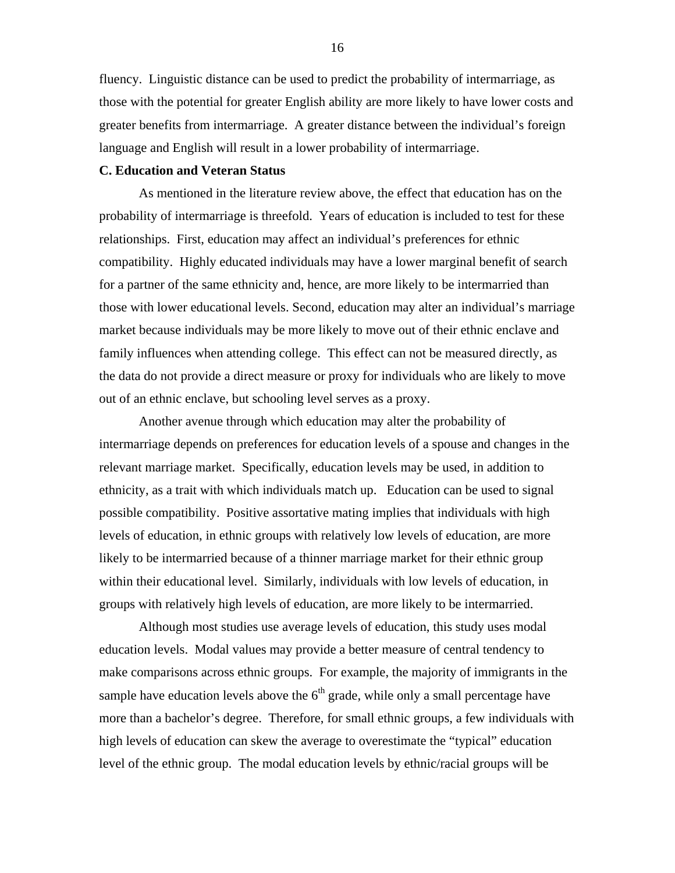fluency. Linguistic distance can be used to predict the probability of intermarriage, as those with the potential for greater English ability are more likely to have lower costs and greater benefits from intermarriage. A greater distance between the individual's foreign language and English will result in a lower probability of intermarriage.

#### **C. Education and Veteran Status**

As mentioned in the literature review above, the effect that education has on the probability of intermarriage is threefold. Years of education is included to test for these relationships. First, education may affect an individual's preferences for ethnic compatibility. Highly educated individuals may have a lower marginal benefit of search for a partner of the same ethnicity and, hence, are more likely to be intermarried than those with lower educational levels. Second, education may alter an individual's marriage market because individuals may be more likely to move out of their ethnic enclave and family influences when attending college. This effect can not be measured directly, as the data do not provide a direct measure or proxy for individuals who are likely to move out of an ethnic enclave, but schooling level serves as a proxy.

Another avenue through which education may alter the probability of intermarriage depends on preferences for education levels of a spouse and changes in the relevant marriage market. Specifically, education levels may be used, in addition to ethnicity, as a trait with which individuals match up. Education can be used to signal possible compatibility. Positive assortative mating implies that individuals with high levels of education, in ethnic groups with relatively low levels of education, are more likely to be intermarried because of a thinner marriage market for their ethnic group within their educational level. Similarly, individuals with low levels of education, in groups with relatively high levels of education, are more likely to be intermarried.

Although most studies use average levels of education, this study uses modal education levels. Modal values may provide a better measure of central tendency to make comparisons across ethnic groups. For example, the majority of immigrants in the sample have education levels above the  $6<sup>th</sup>$  grade, while only a small percentage have more than a bachelor's degree. Therefore, for small ethnic groups, a few individuals with high levels of education can skew the average to overestimate the "typical" education level of the ethnic group. The modal education levels by ethnic/racial groups will be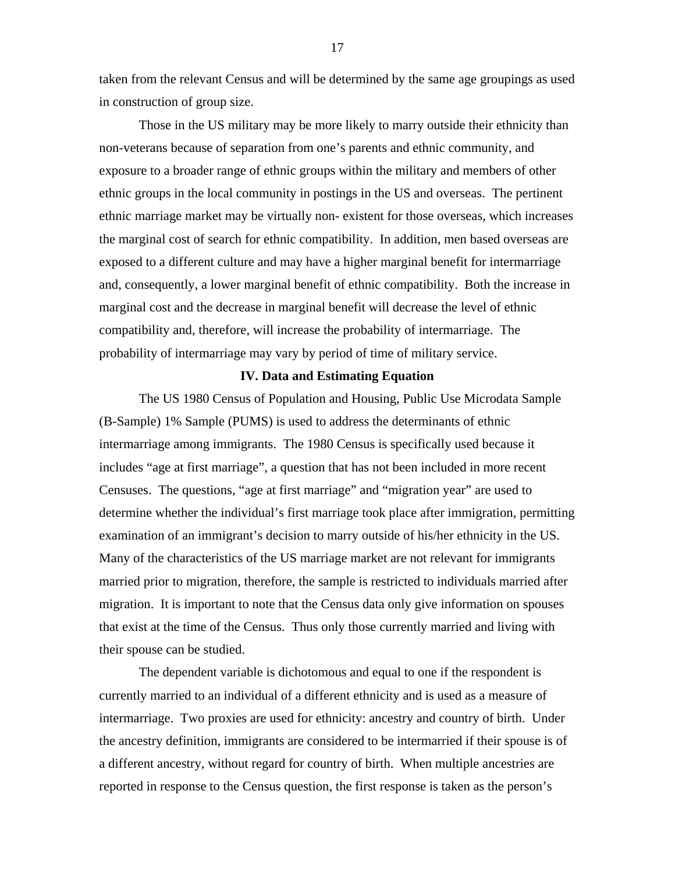taken from the relevant Census and will be determined by the same age groupings as used in construction of group size.

Those in the US military may be more likely to marry outside their ethnicity than non-veterans because of separation from one's parents and ethnic community, and exposure to a broader range of ethnic groups within the military and members of other ethnic groups in the local community in postings in the US and overseas. The pertinent ethnic marriage market may be virtually non- existent for those overseas, which increases the marginal cost of search for ethnic compatibility. In addition, men based overseas are exposed to a different culture and may have a higher marginal benefit for intermarriage and, consequently, a lower marginal benefit of ethnic compatibility. Both the increase in marginal cost and the decrease in marginal benefit will decrease the level of ethnic compatibility and, therefore, will increase the probability of intermarriage. The probability of intermarriage may vary by period of time of military service.

#### **IV. Data and Estimating Equation**

The US 1980 Census of Population and Housing, Public Use Microdata Sample (B-Sample) 1% Sample (PUMS) is used to address the determinants of ethnic intermarriage among immigrants. The 1980 Census is specifically used because it includes "age at first marriage", a question that has not been included in more recent Censuses. The questions, "age at first marriage" and "migration year" are used to determine whether the individual's first marriage took place after immigration, permitting examination of an immigrant's decision to marry outside of his/her ethnicity in the US. Many of the characteristics of the US marriage market are not relevant for immigrants married prior to migration, therefore, the sample is restricted to individuals married after migration. It is important to note that the Census data only give information on spouses that exist at the time of the Census. Thus only those currently married and living with their spouse can be studied.

The dependent variable is dichotomous and equal to one if the respondent is currently married to an individual of a different ethnicity and is used as a measure of intermarriage. Two proxies are used for ethnicity: ancestry and country of birth. Under the ancestry definition, immigrants are considered to be intermarried if their spouse is of a different ancestry, without regard for country of birth. When multiple ancestries are reported in response to the Census question, the first response is taken as the person's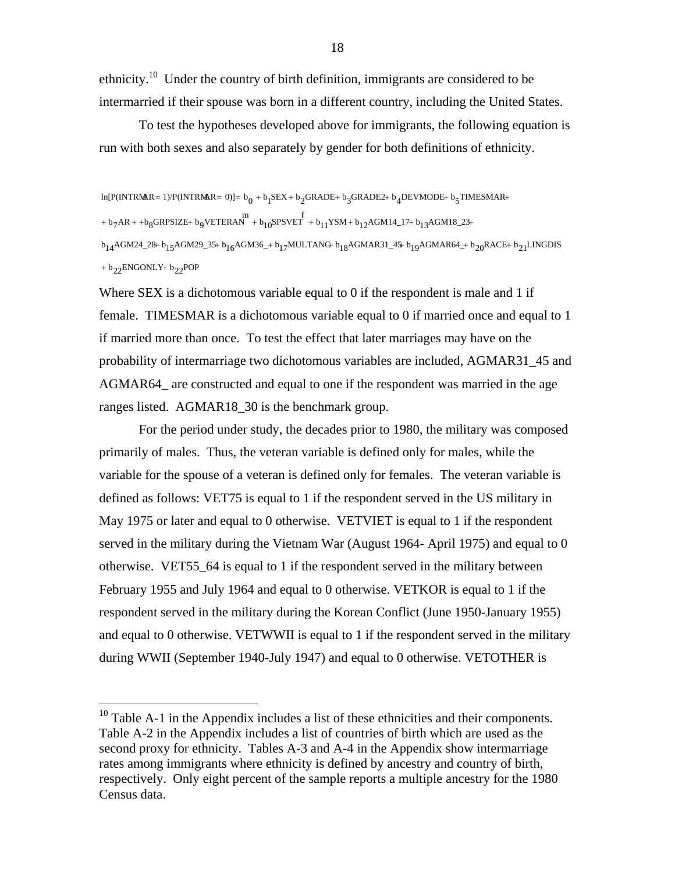ethnicity.<sup>10</sup> Under the country of birth definition, immigrants are considered to be intermarried if their spouse was born in a different country, including the United States.

To test the hypotheses developed above for immigrants, the following equation is run with both sexes and also separately by gender for both definitions of ethnicity.

 $+ b_{22}$ ENGONLY $+ b_{22}$ POP  $\rm b_{14}$ AGM24\_28+  $\rm b_{15}$ AGM29\_35+  $\rm b_{16}$ AGM36\_+  $\rm b_{17}$ MULTANG  $\rm b_{18}$ AGMAR31\_45+  $\rm b_{19}$ AGMAR64\_+  $\rm b_{20}$ RACE+  $\rm b_{21}$ LINGDIS  $+$   $\text{b}_7$ AR +  $+$   $\text{b}_8$ GRPSIZE+  $\text{b}_9$ VETERAN  $^{\text{m}}$  +  $\text{b}_{10}$ SPSVET +  $\text{b}_{11}$ YSM +  $\text{b}_{12}$ AGM14\_17+  $\text{b}_{13}$ AGM18\_23+  $\ln[P(\text{INTERMAR = 1})/P(\text{INTERMAR = 0})] = b_0 + b_1 \text{SEX} + b_2 \text{GRAPHB} + b_3 \text{GRAPHB2} + b_4 \text{DEVMODE} + b_5 \text{TIMESMAR} + b_6 \text{N}$ 

Where SEX is a dichotomous variable equal to 0 if the respondent is male and 1 if female. TIMESMAR is a dichotomous variable equal to 0 if married once and equal to 1 if married more than once. To test the effect that later marriages may have on the probability of intermarriage two dichotomous variables are included, AGMAR31\_45 and AGMAR64\_ are constructed and equal to one if the respondent was married in the age ranges listed. AGMAR18 30 is the benchmark group.

For the period under study, the decades prior to 1980, the military was composed primarily of males. Thus, the veteran variable is defined only for males, while the variable for the spouse of a veteran is defined only for females. The veteran variable is defined as follows: VET75 is equal to 1 if the respondent served in the US military in May 1975 or later and equal to 0 otherwise. VETVIET is equal to 1 if the respondent served in the military during the Vietnam War (August 1964- April 1975) and equal to 0 otherwise. VET55\_64 is equal to 1 if the respondent served in the military between February 1955 and July 1964 and equal to 0 otherwise. VETKOR is equal to 1 if the respondent served in the military during the Korean Conflict (June 1950-January 1955) and equal to 0 otherwise. VETWWII is equal to 1 if the respondent served in the military during WWII (September 1940-July 1947) and equal to 0 otherwise. VETOTHER is

<span id="page-18-0"></span> $10$  Table A-1 in the Appendix includes a list of these ethnicities and their components. Table A-2 in the Appendix includes a list of countries of birth which are used as the second proxy for ethnicity. Tables A-3 and A-4 in the Appendix show intermarriage rates among immigrants where ethnicity is defined by ancestry and country of birth, respectively. Only eight percent of the sample reports a multiple ancestry for the 1980 Census data.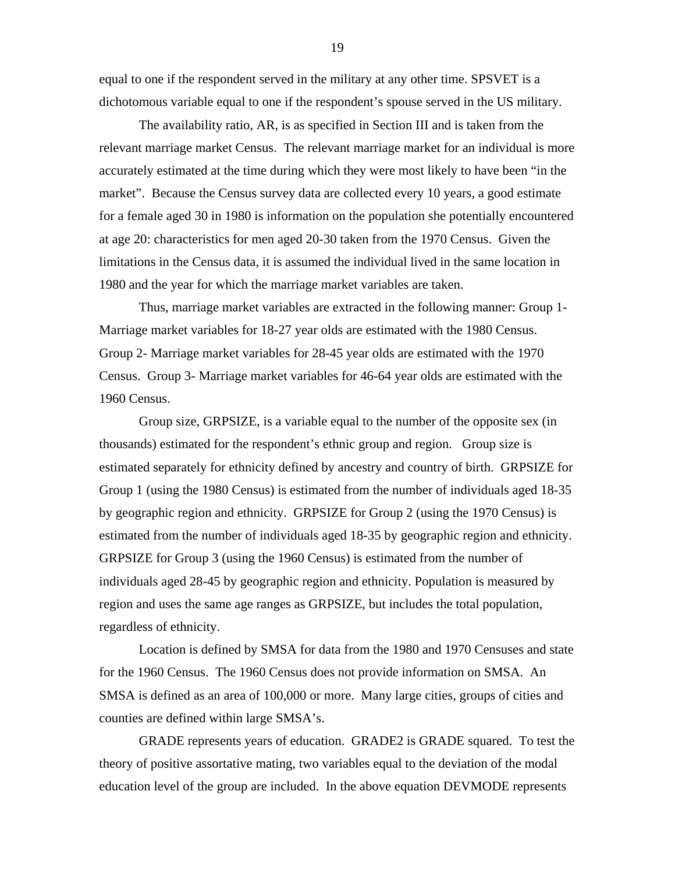equal to one if the respondent served in the military at any other time. SPSVET is a dichotomous variable equal to one if the respondent's spouse served in the US military.

The availability ratio, AR, is as specified in Section III and is taken from the relevant marriage market Census. The relevant marriage market for an individual is more accurately estimated at the time during which they were most likely to have been "in the market". Because the Census survey data are collected every 10 years, a good estimate for a female aged 30 in 1980 is information on the population she potentially encountered at age 20: characteristics for men aged 20-30 taken from the 1970 Census. Given the limitations in the Census data, it is assumed the individual lived in the same location in 1980 and the year for which the marriage market variables are taken.

Thus, marriage market variables are extracted in the following manner: Group 1- Marriage market variables for 18-27 year olds are estimated with the 1980 Census. Group 2- Marriage market variables for 28-45 year olds are estimated with the 1970 Census. Group 3- Marriage market variables for 46-64 year olds are estimated with the 1960 Census.

Group size, GRPSIZE, is a variable equal to the number of the opposite sex (in thousands) estimated for the respondent's ethnic group and region. Group size is estimated separately for ethnicity defined by ancestry and country of birth. GRPSIZE for Group 1 (using the 1980 Census) is estimated from the number of individuals aged 18-35 by geographic region and ethnicity. GRPSIZE for Group 2 (using the 1970 Census) is estimated from the number of individuals aged 18-35 by geographic region and ethnicity. GRPSIZE for Group 3 (using the 1960 Census) is estimated from the number of individuals aged 28-45 by geographic region and ethnicity. Population is measured by region and uses the same age ranges as GRPSIZE, but includes the total population, regardless of ethnicity.

Location is defined by SMSA for data from the 1980 and 1970 Censuses and state for the 1960 Census. The 1960 Census does not provide information on SMSA. An SMSA is defined as an area of 100,000 or more. Many large cities, groups of cities and counties are defined within large SMSA's.

GRADE represents years of education. GRADE2 is GRADE squared. To test the theory of positive assortative mating, two variables equal to the deviation of the modal education level of the group are included. In the above equation DEVMODE represents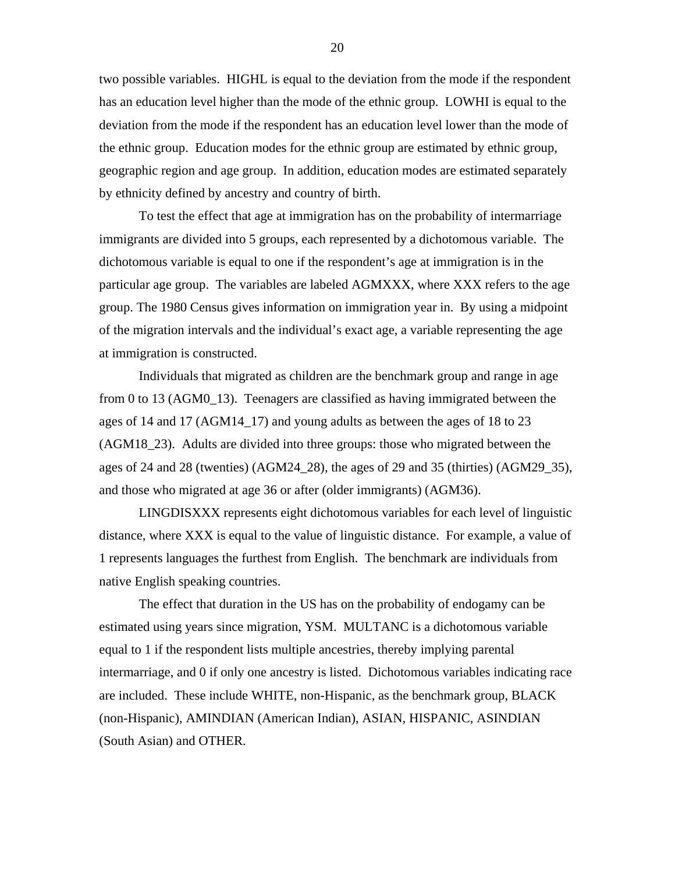two possible variables. HIGHL is equal to the deviation from the mode if the respondent has an education level higher than the mode of the ethnic group. LOWHI is equal to the deviation from the mode if the respondent has an education level lower than the mode of the ethnic group. Education modes for the ethnic group are estimated by ethnic group, geographic region and age group. In addition, education modes are estimated separately by ethnicity defined by ancestry and country of birth.

To test the effect that age at immigration has on the probability of intermarriage immigrants are divided into 5 groups, each represented by a dichotomous variable. The dichotomous variable is equal to one if the respondent's age at immigration is in the particular age group. The variables are labeled AGMXXX, where XXX refers to the age group. The 1980 Census gives information on immigration year in. By using a midpoint of the migration intervals and the individual's exact age, a variable representing the age at immigration is constructed.

Individuals that migrated as children are the benchmark group and range in age from 0 to 13 (AGM0\_13). Teenagers are classified as having immigrated between the ages of 14 and 17 (AGM14\_17) and young adults as between the ages of 18 to 23 (AGM18\_23). Adults are divided into three groups: those who migrated between the ages of 24 and 28 (twenties) (AGM24\_28), the ages of 29 and 35 (thirties) (AGM29\_35), and those who migrated at age 36 or after (older immigrants) (AGM36).

LINGDISXXX represents eight dichotomous variables for each level of linguistic distance, where XXX is equal to the value of linguistic distance. For example, a value of 1 represents languages the furthest from English. The benchmark are individuals from native English speaking countries.

The effect that duration in the US has on the probability of endogamy can be estimated using years since migration, YSM. MULTANC is a dichotomous variable equal to 1 if the respondent lists multiple ancestries, thereby implying parental intermarriage, and 0 if only one ancestry is listed. Dichotomous variables indicating race are included. These include WHITE, non-Hispanic, as the benchmark group, BLACK (non-Hispanic), AMINDIAN (American Indian), ASIAN, HISPANIC, ASINDIAN (South Asian) and OTHER.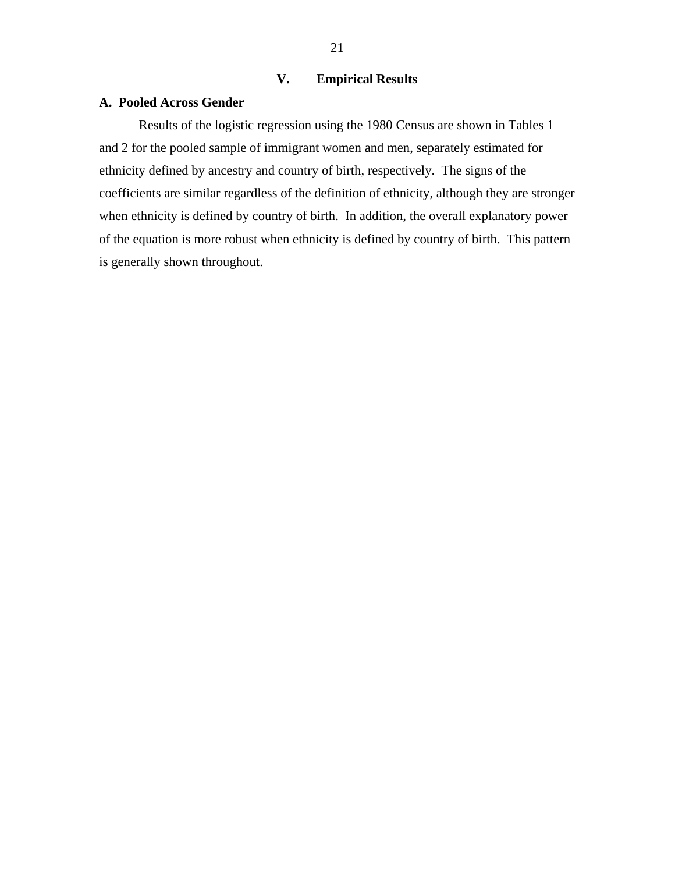### **V. Empirical Results**

#### **A. Pooled Across Gender**

Results of the logistic regression using the 1980 Census are shown in Tables 1 and 2 for the pooled sample of immigrant women and men, separately estimated for ethnicity defined by ancestry and country of birth, respectively. The signs of the coefficients are similar regardless of the definition of ethnicity, although they are stronger when ethnicity is defined by country of birth. In addition, the overall explanatory power of the equation is more robust when ethnicity is defined by country of birth. This pattern is generally shown throughout.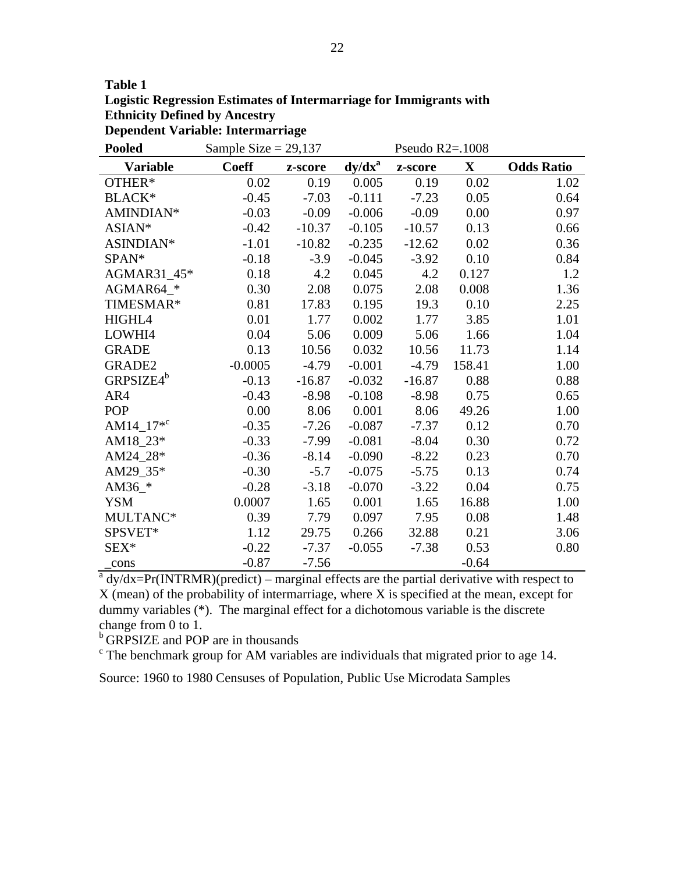| Table 1                                                            |
|--------------------------------------------------------------------|
| Logistic Regression Estimates of Intermarriage for Immigrants with |
| <b>Ethnicity Defined by Ancestry</b>                               |
| Dependent Variable: Intermarriage                                  |

| <b>Pooled</b>                                                                                 | Sample Size = $29,137$ |          |           | Pseudo $R2 = 1008$ |             |                   |
|-----------------------------------------------------------------------------------------------|------------------------|----------|-----------|--------------------|-------------|-------------------|
| <b>Variable</b>                                                                               | <b>Coeff</b>           | z-score  | $dy/dx^a$ | z-score            | $\mathbf X$ | <b>Odds Ratio</b> |
| OTHER*                                                                                        | 0.02                   | 0.19     | 0.005     | 0.19               | 0.02        | 1.02              |
| BLACK*                                                                                        | $-0.45$                | $-7.03$  | $-0.111$  | $-7.23$            | 0.05        | 0.64              |
| AMINDIAN*                                                                                     | $-0.03$                | $-0.09$  | $-0.006$  | $-0.09$            | 0.00        | 0.97              |
| ASIAN*                                                                                        | $-0.42$                | $-10.37$ | $-0.105$  | $-10.57$           | 0.13        | 0.66              |
| ASINDIAN*                                                                                     | $-1.01$                | $-10.82$ | $-0.235$  | $-12.62$           | 0.02        | 0.36              |
| SPAN*                                                                                         | $-0.18$                | $-3.9$   | $-0.045$  | $-3.92$            | 0.10        | 0.84              |
| AGMAR31 45*                                                                                   | 0.18                   | 4.2      | 0.045     | 4.2                | 0.127       | 1.2               |
| AGMAR64_*                                                                                     | 0.30                   | 2.08     | 0.075     | 2.08               | 0.008       | 1.36              |
| TIMESMAR*                                                                                     | 0.81                   | 17.83    | 0.195     | 19.3               | 0.10        | 2.25              |
| HIGHL4                                                                                        | 0.01                   | 1.77     | 0.002     | 1.77               | 3.85        | 1.01              |
| LOWHI4                                                                                        | 0.04                   | 5.06     | 0.009     | 5.06               | 1.66        | 1.04              |
| <b>GRADE</b>                                                                                  | 0.13                   | 10.56    | 0.032     | 10.56              | 11.73       | 1.14              |
| GRADE2                                                                                        | $-0.0005$              | $-4.79$  | $-0.001$  | $-4.79$            | 158.41      | 1.00              |
| GRPSIZE4 <sup>b</sup>                                                                         | $-0.13$                | $-16.87$ | $-0.032$  | $-16.87$           | 0.88        | 0.88              |
| AR4                                                                                           | $-0.43$                | $-8.98$  | $-0.108$  | $-8.98$            | 0.75        | 0.65              |
| POP                                                                                           | 0.00                   | 8.06     | 0.001     | 8.06               | 49.26       | 1.00              |
| AM14_17 <sup>*c</sup>                                                                         | $-0.35$                | $-7.26$  | $-0.087$  | $-7.37$            | 0.12        | 0.70              |
| AM18_23*                                                                                      | $-0.33$                | $-7.99$  | $-0.081$  | $-8.04$            | 0.30        | 0.72              |
| AM24_28*                                                                                      | $-0.36$                | $-8.14$  | $-0.090$  | $-8.22$            | 0.23        | 0.70              |
| AM29_35*                                                                                      | $-0.30$                | $-5.7$   | $-0.075$  | $-5.75$            | 0.13        | 0.74              |
| AM36 $*$                                                                                      | $-0.28$                | $-3.18$  | $-0.070$  | $-3.22$            | 0.04        | 0.75              |
| <b>YSM</b>                                                                                    | 0.0007                 | 1.65     | 0.001     | 1.65               | 16.88       | 1.00              |
| MULTANC*                                                                                      | 0.39                   | 7.79     | 0.097     | 7.95               | 0.08        | 1.48              |
| SPSVET*                                                                                       | 1.12                   | 29.75    | 0.266     | 32.88              | 0.21        | 3.06              |
| SEX*                                                                                          | $-0.22$                | $-7.37$  | $-0.055$  | $-7.38$            | 0.53        | 0.80              |
| _cons                                                                                         | $-0.87$                | $-7.56$  |           |                    | $-0.64$     |                   |
| $a^a$ dy/dx=Pr(INTRMR)(predict) – marginal effects are the partial derivative with respect to |                        |          |           |                    |             |                   |

X (mean) of the probability of intermarriage, where X is specified at the mean, except for dummy variables (\*). The marginal effect for a dichotomous variable is the discrete change from 0 to 1.

<sup>b</sup> GRPSIZE and POP are in thousands

 $\epsilon$  The benchmark group for AM variables are individuals that migrated prior to age 14.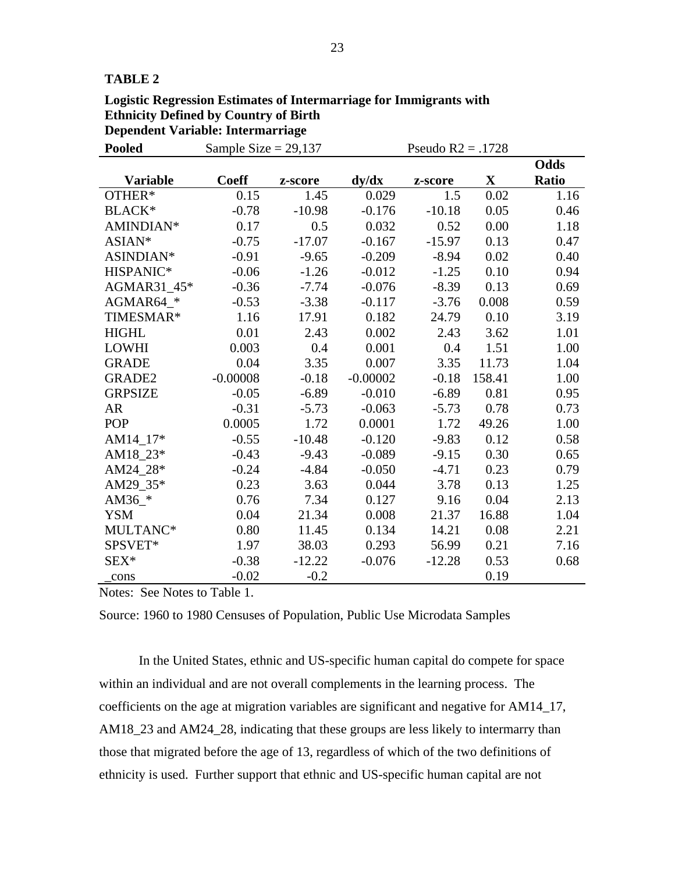#### **TABLE 2**

| Logistic Regression Estimates of Intermarriage for Immigrants with |  |
|--------------------------------------------------------------------|--|
| <b>Ethnicity Defined by Country of Birth</b>                       |  |
| Dependent Variable: Intermarriage                                  |  |

| <b>Pooled</b>   | Sample Size = $29,137$ |          | Pseudo $R2 = .1728$ |          |             |              |
|-----------------|------------------------|----------|---------------------|----------|-------------|--------------|
|                 |                        |          |                     |          |             | Odds         |
| <b>Variable</b> | <b>Coeff</b>           | z-score  | dy/dx               | z-score  | $\mathbf X$ | <b>Ratio</b> |
| OTHER*          | 0.15                   | 1.45     | 0.029               | 1.5      | 0.02        | 1.16         |
| <b>BLACK*</b>   | $-0.78$                | $-10.98$ | $-0.176$            | $-10.18$ | 0.05        | 0.46         |
| AMINDIAN*       | 0.17                   | 0.5      | 0.032               | 0.52     | 0.00        | 1.18         |
| ASIAN*          | $-0.75$                | $-17.07$ | $-0.167$            | $-15.97$ | 0.13        | 0.47         |
| ASINDIAN*       | $-0.91$                | $-9.65$  | $-0.209$            | $-8.94$  | 0.02        | 0.40         |
| HISPANIC*       | $-0.06$                | $-1.26$  | $-0.012$            | $-1.25$  | 0.10        | 0.94         |
| AGMAR31 45*     | $-0.36$                | $-7.74$  | $-0.076$            | $-8.39$  | 0.13        | 0.69         |
| AGMAR64_*       | $-0.53$                | $-3.38$  | $-0.117$            | $-3.76$  | 0.008       | 0.59         |
| TIMESMAR*       | 1.16                   | 17.91    | 0.182               | 24.79    | 0.10        | 3.19         |
| <b>HIGHL</b>    | 0.01                   | 2.43     | 0.002               | 2.43     | 3.62        | 1.01         |
| <b>LOWHI</b>    | 0.003                  | 0.4      | 0.001               | 0.4      | 1.51        | 1.00         |
| <b>GRADE</b>    | 0.04                   | 3.35     | 0.007               | 3.35     | 11.73       | 1.04         |
| GRADE2          | $-0.00008$             | $-0.18$  | $-0.00002$          | $-0.18$  | 158.41      | 1.00         |
| <b>GRPSIZE</b>  | $-0.05$                | $-6.89$  | $-0.010$            | $-6.89$  | 0.81        | 0.95         |
| <b>AR</b>       | $-0.31$                | $-5.73$  | $-0.063$            | $-5.73$  | 0.78        | 0.73         |
| <b>POP</b>      | 0.0005                 | 1.72     | 0.0001              | 1.72     | 49.26       | 1.00         |
| AM14 17*        | $-0.55$                | $-10.48$ | $-0.120$            | $-9.83$  | 0.12        | 0.58         |
| AM18_23*        | $-0.43$                | $-9.43$  | $-0.089$            | $-9.15$  | 0.30        | 0.65         |
| AM24 28*        | $-0.24$                | $-4.84$  | $-0.050$            | $-4.71$  | 0.23        | 0.79         |
| AM29_35*        | 0.23                   | 3.63     | 0.044               | 3.78     | 0.13        | 1.25         |
| AM36_ $*$       | 0.76                   | 7.34     | 0.127               | 9.16     | 0.04        | 2.13         |
| <b>YSM</b>      | 0.04                   | 21.34    | 0.008               | 21.37    | 16.88       | 1.04         |
| MULTANC*        | 0.80                   | 11.45    | 0.134               | 14.21    | 0.08        | 2.21         |
| SPSVET*         | 1.97                   | 38.03    | 0.293               | 56.99    | 0.21        | 7.16         |
| $SEX^*$         | $-0.38$                | $-12.22$ | $-0.076$            | $-12.28$ | 0.53        | 0.68         |
| cons            | $-0.02$                | $-0.2$   |                     |          | 0.19        |              |

Notes: See Notes to Table 1.

Source: 1960 to 1980 Censuses of Population, Public Use Microdata Samples

In the United States, ethnic and US-specific human capital do compete for space within an individual and are not overall complements in the learning process. The coefficients on the age at migration variables are significant and negative for AM14\_17, AM18\_23 and AM24\_28, indicating that these groups are less likely to intermarry than those that migrated before the age of 13, regardless of which of the two definitions of ethnicity is used. Further support that ethnic and US-specific human capital are not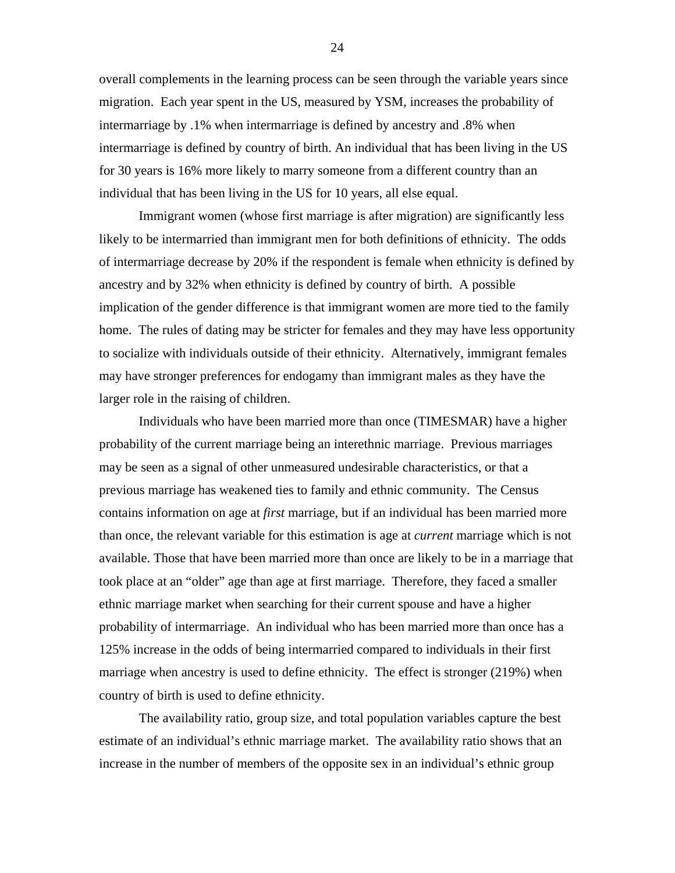overall complements in the learning process can be seen through the variable years since migration. Each year spent in the US, measured by YSM, increases the probability of intermarriage by .1% when intermarriage is defined by ancestry and .8% when intermarriage is defined by country of birth. An individual that has been living in the US for 30 years is 16% more likely to marry someone from a different country than an individual that has been living in the US for 10 years, all else equal.

Immigrant women (whose first marriage is after migration) are significantly less likely to be intermarried than immigrant men for both definitions of ethnicity. The odds of intermarriage decrease by 20% if the respondent is female when ethnicity is defined by ancestry and by 32% when ethnicity is defined by country of birth. A possible implication of the gender difference is that immigrant women are more tied to the family home. The rules of dating may be stricter for females and they may have less opportunity to socialize with individuals outside of their ethnicity. Alternatively, immigrant females may have stronger preferences for endogamy than immigrant males as they have the larger role in the raising of children.

Individuals who have been married more than once (TIMESMAR) have a higher probability of the current marriage being an interethnic marriage. Previous marriages may be seen as a signal of other unmeasured undesirable characteristics, or that a previous marriage has weakened ties to family and ethnic community. The Census contains information on age at *first* marriage, but if an individual has been married more than once, the relevant variable for this estimation is age at *current* marriage which is not available. Those that have been married more than once are likely to be in a marriage that took place at an "older" age than age at first marriage. Therefore, they faced a smaller ethnic marriage market when searching for their current spouse and have a higher probability of intermarriage. An individual who has been married more than once has a 125% increase in the odds of being intermarried compared to individuals in their first marriage when ancestry is used to define ethnicity. The effect is stronger (219%) when country of birth is used to define ethnicity.

The availability ratio, group size, and total population variables capture the best estimate of an individual's ethnic marriage market. The availability ratio shows that an increase in the number of members of the opposite sex in an individual's ethnic group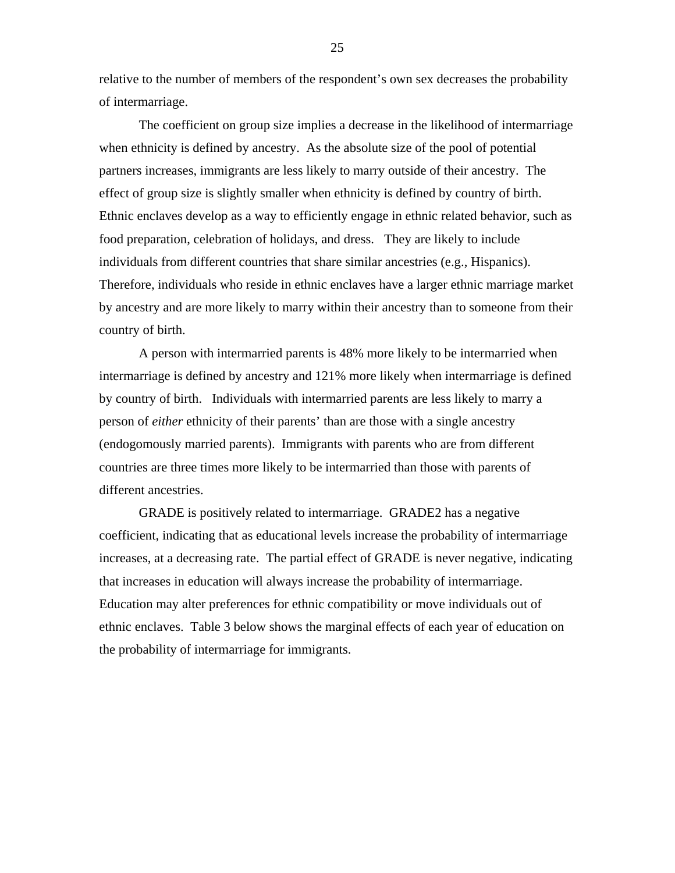relative to the number of members of the respondent's own sex decreases the probability of intermarriage.

The coefficient on group size implies a decrease in the likelihood of intermarriage when ethnicity is defined by ancestry. As the absolute size of the pool of potential partners increases, immigrants are less likely to marry outside of their ancestry. The effect of group size is slightly smaller when ethnicity is defined by country of birth. Ethnic enclaves develop as a way to efficiently engage in ethnic related behavior, such as food preparation, celebration of holidays, and dress. They are likely to include individuals from different countries that share similar ancestries (e.g., Hispanics). Therefore, individuals who reside in ethnic enclaves have a larger ethnic marriage market by ancestry and are more likely to marry within their ancestry than to someone from their country of birth.

A person with intermarried parents is 48% more likely to be intermarried when intermarriage is defined by ancestry and 121% more likely when intermarriage is defined by country of birth. Individuals with intermarried parents are less likely to marry a person of *either* ethnicity of their parents' than are those with a single ancestry (endogomously married parents). Immigrants with parents who are from different countries are three times more likely to be intermarried than those with parents of different ancestries.

GRADE is positively related to intermarriage. GRADE2 has a negative coefficient, indicating that as educational levels increase the probability of intermarriage increases, at a decreasing rate. The partial effect of GRADE is never negative, indicating that increases in education will always increase the probability of intermarriage. Education may alter preferences for ethnic compatibility or move individuals out of ethnic enclaves. Table 3 below shows the marginal effects of each year of education on the probability of intermarriage for immigrants.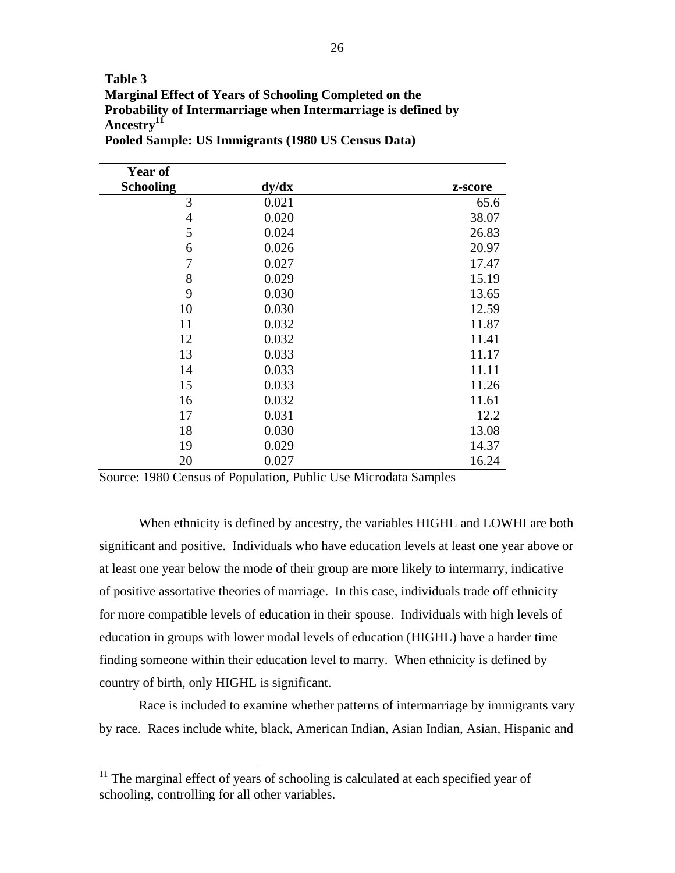## **Table 3 Marginal Effect of Years of Schooling Completed on the Probability of Intermarriage when Intermarriage is defined by Ancestry[11](#page-26-0)**

| <b>Year of</b>   |       |         |
|------------------|-------|---------|
| <b>Schooling</b> | dy/dx | z-score |
| $\mathfrak{Z}$   | 0.021 | 65.6    |
| 4                | 0.020 | 38.07   |
| 5                | 0.024 | 26.83   |
| 6                | 0.026 | 20.97   |
| 7                | 0.027 | 17.47   |
| 8                | 0.029 | 15.19   |
| 9                | 0.030 | 13.65   |
| 10               | 0.030 | 12.59   |
| 11               | 0.032 | 11.87   |
| 12               | 0.032 | 11.41   |
| 13               | 0.033 | 11.17   |
| 14               | 0.033 | 11.11   |
| 15               | 0.033 | 11.26   |
| 16               | 0.032 | 11.61   |
| 17               | 0.031 | 12.2    |
| 18               | 0.030 | 13.08   |
| 19               | 0.029 | 14.37   |
| 20               | 0.027 | 16.24   |

**Pooled Sample: US Immigrants (1980 US Census Data)** 

Source: 1980 Census of Population, Public Use Microdata Samples

When ethnicity is defined by ancestry, the variables HIGHL and LOWHI are both significant and positive. Individuals who have education levels at least one year above or at least one year below the mode of their group are more likely to intermarry, indicative of positive assortative theories of marriage. In this case, individuals trade off ethnicity for more compatible levels of education in their spouse. Individuals with high levels of education in groups with lower modal levels of education (HIGHL) have a harder time finding someone within their education level to marry. When ethnicity is defined by country of birth, only HIGHL is significant.

Race is included to examine whether patterns of intermarriage by immigrants vary by race. Races include white, black, American Indian, Asian Indian, Asian, Hispanic and

 $\overline{a}$ 

<span id="page-26-0"></span> $11$  The marginal effect of years of schooling is calculated at each specified year of schooling, controlling for all other variables.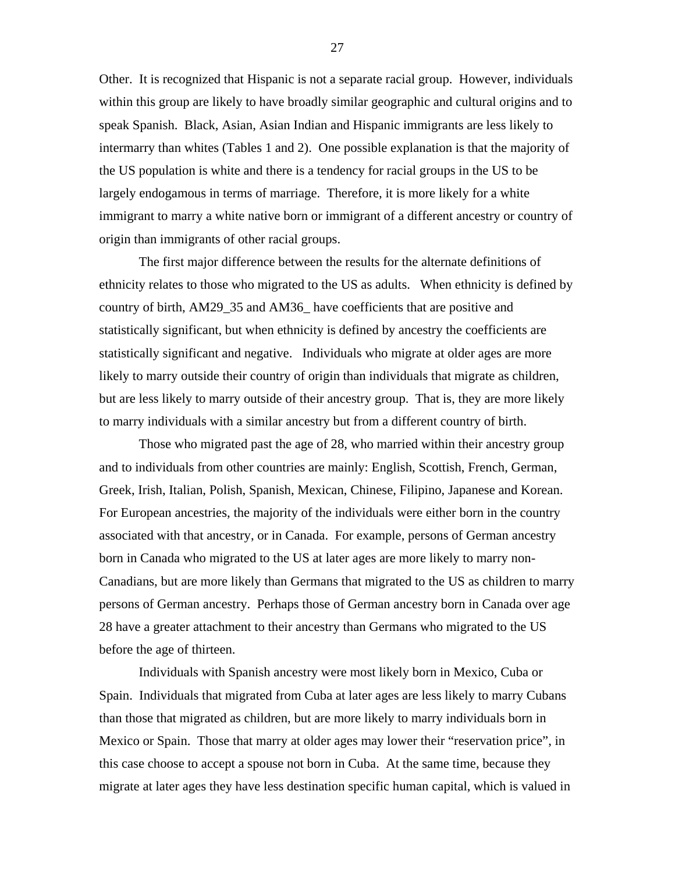Other. It is recognized that Hispanic is not a separate racial group. However, individuals within this group are likely to have broadly similar geographic and cultural origins and to speak Spanish. Black, Asian, Asian Indian and Hispanic immigrants are less likely to intermarry than whites (Tables 1 and 2). One possible explanation is that the majority of the US population is white and there is a tendency for racial groups in the US to be largely endogamous in terms of marriage. Therefore, it is more likely for a white immigrant to marry a white native born or immigrant of a different ancestry or country of origin than immigrants of other racial groups.

The first major difference between the results for the alternate definitions of ethnicity relates to those who migrated to the US as adults. When ethnicity is defined by country of birth, AM29\_35 and AM36\_ have coefficients that are positive and statistically significant, but when ethnicity is defined by ancestry the coefficients are statistically significant and negative. Individuals who migrate at older ages are more likely to marry outside their country of origin than individuals that migrate as children, but are less likely to marry outside of their ancestry group. That is, they are more likely to marry individuals with a similar ancestry but from a different country of birth.

Those who migrated past the age of 28, who married within their ancestry group and to individuals from other countries are mainly: English, Scottish, French, German, Greek, Irish, Italian, Polish, Spanish, Mexican, Chinese, Filipino, Japanese and Korean. For European ancestries, the majority of the individuals were either born in the country associated with that ancestry, or in Canada. For example, persons of German ancestry born in Canada who migrated to the US at later ages are more likely to marry non-Canadians, but are more likely than Germans that migrated to the US as children to marry persons of German ancestry. Perhaps those of German ancestry born in Canada over age 28 have a greater attachment to their ancestry than Germans who migrated to the US before the age of thirteen.

Individuals with Spanish ancestry were most likely born in Mexico, Cuba or Spain. Individuals that migrated from Cuba at later ages are less likely to marry Cubans than those that migrated as children, but are more likely to marry individuals born in Mexico or Spain. Those that marry at older ages may lower their "reservation price", in this case choose to accept a spouse not born in Cuba. At the same time, because they migrate at later ages they have less destination specific human capital, which is valued in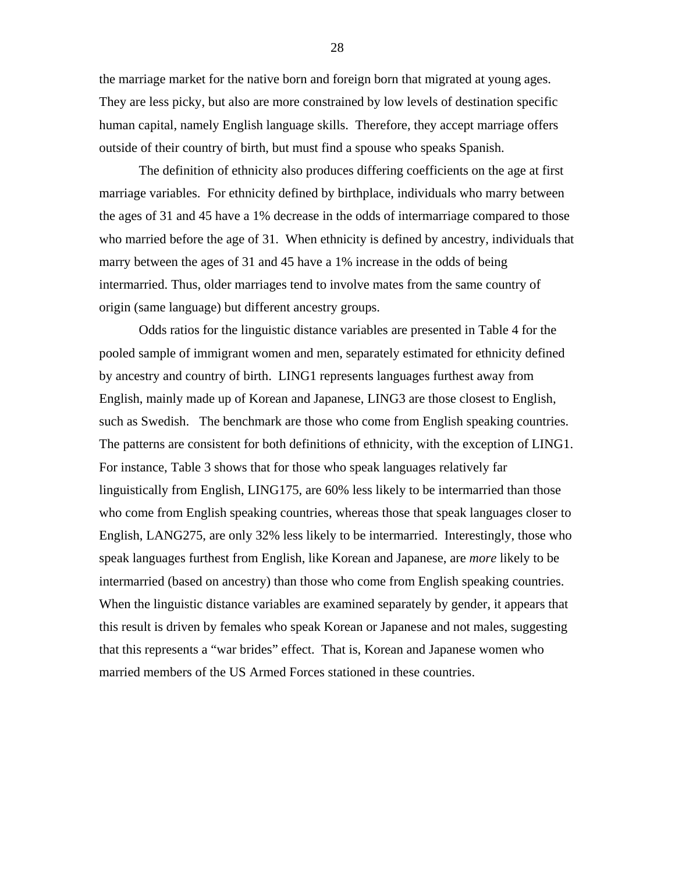the marriage market for the native born and foreign born that migrated at young ages. They are less picky, but also are more constrained by low levels of destination specific human capital, namely English language skills. Therefore, they accept marriage offers outside of their country of birth, but must find a spouse who speaks Spanish.

The definition of ethnicity also produces differing coefficients on the age at first marriage variables. For ethnicity defined by birthplace, individuals who marry between the ages of 31 and 45 have a 1% decrease in the odds of intermarriage compared to those who married before the age of 31. When ethnicity is defined by ancestry, individuals that marry between the ages of 31 and 45 have a 1% increase in the odds of being intermarried. Thus, older marriages tend to involve mates from the same country of origin (same language) but different ancestry groups.

Odds ratios for the linguistic distance variables are presented in Table 4 for the pooled sample of immigrant women and men, separately estimated for ethnicity defined by ancestry and country of birth. LING1 represents languages furthest away from English, mainly made up of Korean and Japanese, LING3 are those closest to English, such as Swedish. The benchmark are those who come from English speaking countries. The patterns are consistent for both definitions of ethnicity, with the exception of LING1. For instance, Table 3 shows that for those who speak languages relatively far linguistically from English, LING175, are 60% less likely to be intermarried than those who come from English speaking countries, whereas those that speak languages closer to English, LANG275, are only 32% less likely to be intermarried. Interestingly, those who speak languages furthest from English, like Korean and Japanese, are *more* likely to be intermarried (based on ancestry) than those who come from English speaking countries. When the linguistic distance variables are examined separately by gender, it appears that this result is driven by females who speak Korean or Japanese and not males, suggesting that this represents a "war brides" effect. That is, Korean and Japanese women who married members of the US Armed Forces stationed in these countries.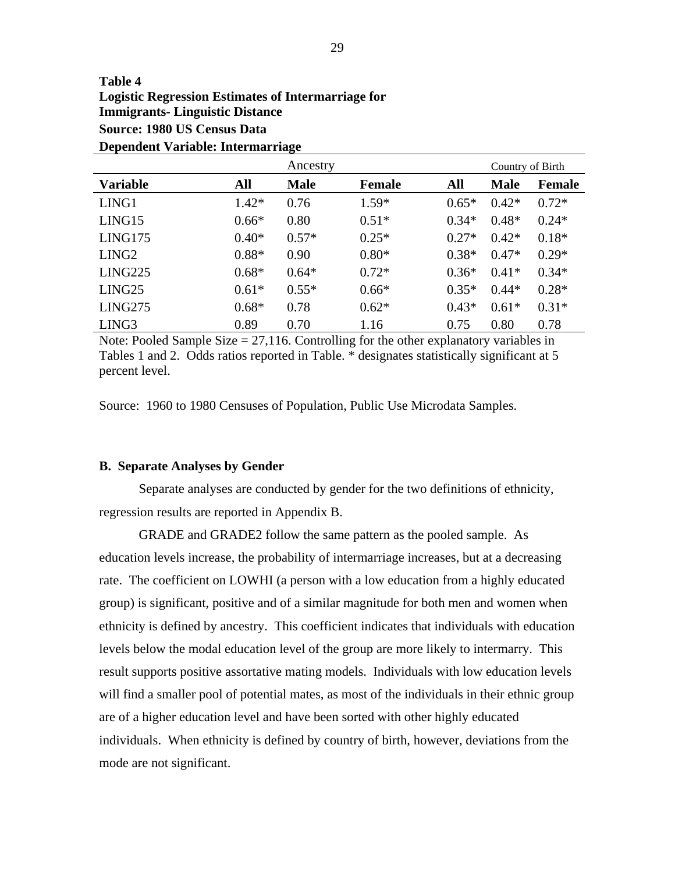### **Table 4 Logistic Regression Estimates of Intermarriage for Immigrants- Linguistic Distance Source: 1980 US Census Data Dependent Variable: Intermarriage**

|                   |         | Ancestry    |               |         | Country of Birth |         |
|-------------------|---------|-------------|---------------|---------|------------------|---------|
| <b>Variable</b>   | All     | <b>Male</b> | <b>Female</b> | All     | <b>Male</b>      | Female  |
| LING1             | $1.42*$ | 0.76        | $1.59*$       | $0.65*$ | $0.42*$          | $0.72*$ |
| LING15            | $0.66*$ | 0.80        | $0.51*$       | $0.34*$ | $0.48*$          | $0.24*$ |
| LING175           | $0.40*$ | $0.57*$     | $0.25*$       | $0.27*$ | $0.42*$          | $0.18*$ |
| LING <sub>2</sub> | $0.88*$ | 0.90        | $0.80*$       | $0.38*$ | $0.47*$          | $0.29*$ |
| LING225           | $0.68*$ | $0.64*$     | $0.72*$       | $0.36*$ | $0.41*$          | $0.34*$ |
| LING25            | $0.61*$ | $0.55*$     | $0.66*$       | $0.35*$ | $0.44*$          | $0.28*$ |
| LING275           | $0.68*$ | 0.78        | $0.62*$       | $0.43*$ | $0.61*$          | $0.31*$ |
| LING <sub>3</sub> | 0.89    | 0.70        | 1.16          | 0.75    | 0.80             | 0.78    |

Note: Pooled Sample Size  $= 27,116$ . Controlling for the other explanatory variables in Tables 1 and 2. Odds ratios reported in Table. \* designates statistically significant at 5 percent level.

Source: 1960 to 1980 Censuses of Population, Public Use Microdata Samples.

#### **B. Separate Analyses by Gender**

Separate analyses are conducted by gender for the two definitions of ethnicity, regression results are reported in Appendix B.

GRADE and GRADE2 follow the same pattern as the pooled sample. As education levels increase, the probability of intermarriage increases, but at a decreasing rate. The coefficient on LOWHI (a person with a low education from a highly educated group) is significant, positive and of a similar magnitude for both men and women when ethnicity is defined by ancestry. This coefficient indicates that individuals with education levels below the modal education level of the group are more likely to intermarry. This result supports positive assortative mating models. Individuals with low education levels will find a smaller pool of potential mates, as most of the individuals in their ethnic group are of a higher education level and have been sorted with other highly educated individuals. When ethnicity is defined by country of birth, however, deviations from the mode are not significant.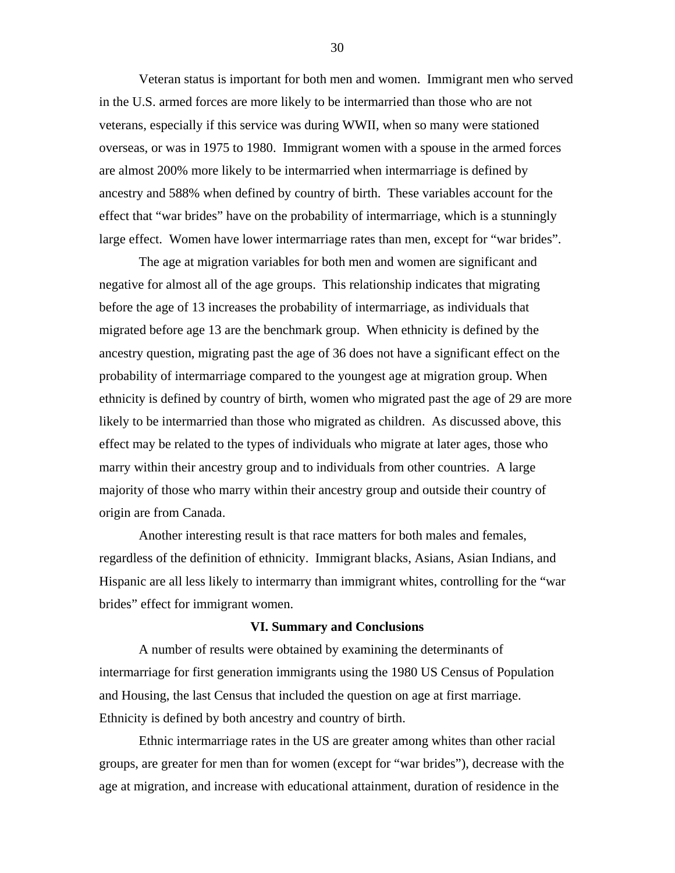Veteran status is important for both men and women. Immigrant men who served in the U.S. armed forces are more likely to be intermarried than those who are not veterans, especially if this service was during WWII, when so many were stationed overseas, or was in 1975 to 1980. Immigrant women with a spouse in the armed forces are almost 200% more likely to be intermarried when intermarriage is defined by ancestry and 588% when defined by country of birth. These variables account for the effect that "war brides" have on the probability of intermarriage, which is a stunningly large effect. Women have lower intermarriage rates than men, except for "war brides".

The age at migration variables for both men and women are significant and negative for almost all of the age groups. This relationship indicates that migrating before the age of 13 increases the probability of intermarriage, as individuals that migrated before age 13 are the benchmark group. When ethnicity is defined by the ancestry question, migrating past the age of 36 does not have a significant effect on the probability of intermarriage compared to the youngest age at migration group. When ethnicity is defined by country of birth, women who migrated past the age of 29 are more likely to be intermarried than those who migrated as children. As discussed above, this effect may be related to the types of individuals who migrate at later ages, those who marry within their ancestry group and to individuals from other countries. A large majority of those who marry within their ancestry group and outside their country of origin are from Canada.

Another interesting result is that race matters for both males and females, regardless of the definition of ethnicity. Immigrant blacks, Asians, Asian Indians, and Hispanic are all less likely to intermarry than immigrant whites, controlling for the "war brides" effect for immigrant women.

#### **VI. Summary and Conclusions**

A number of results were obtained by examining the determinants of intermarriage for first generation immigrants using the 1980 US Census of Population and Housing, the last Census that included the question on age at first marriage. Ethnicity is defined by both ancestry and country of birth.

Ethnic intermarriage rates in the US are greater among whites than other racial groups, are greater for men than for women (except for "war brides"), decrease with the age at migration, and increase with educational attainment, duration of residence in the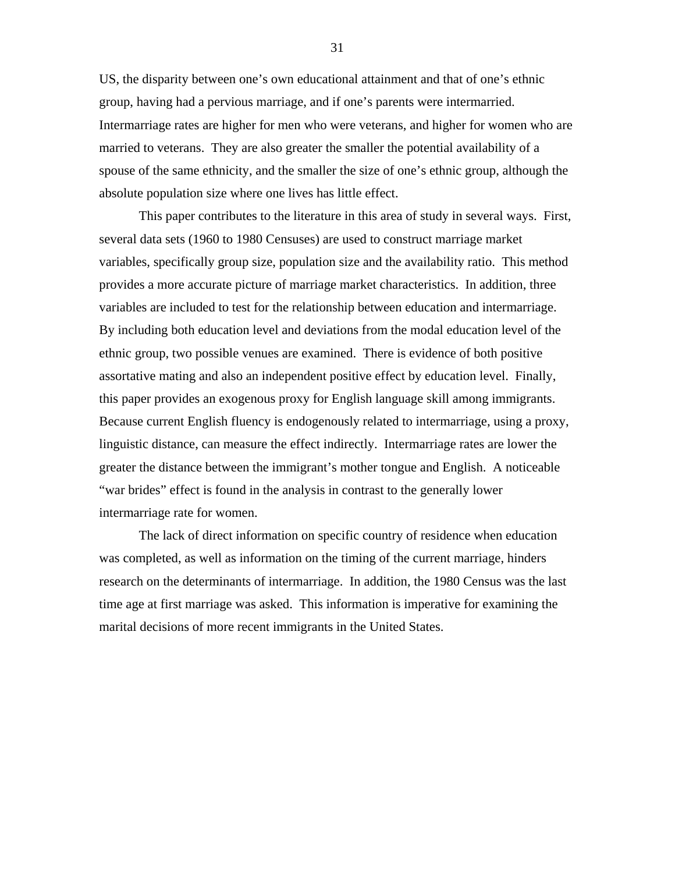US, the disparity between one's own educational attainment and that of one's ethnic group, having had a pervious marriage, and if one's parents were intermarried. Intermarriage rates are higher for men who were veterans, and higher for women who are married to veterans. They are also greater the smaller the potential availability of a spouse of the same ethnicity, and the smaller the size of one's ethnic group, although the absolute population size where one lives has little effect.

This paper contributes to the literature in this area of study in several ways. First, several data sets (1960 to 1980 Censuses) are used to construct marriage market variables, specifically group size, population size and the availability ratio. This method provides a more accurate picture of marriage market characteristics. In addition, three variables are included to test for the relationship between education and intermarriage. By including both education level and deviations from the modal education level of the ethnic group, two possible venues are examined. There is evidence of both positive assortative mating and also an independent positive effect by education level. Finally, this paper provides an exogenous proxy for English language skill among immigrants. Because current English fluency is endogenously related to intermarriage, using a proxy, linguistic distance, can measure the effect indirectly. Intermarriage rates are lower the greater the distance between the immigrant's mother tongue and English. A noticeable "war brides" effect is found in the analysis in contrast to the generally lower intermarriage rate for women.

The lack of direct information on specific country of residence when education was completed, as well as information on the timing of the current marriage, hinders research on the determinants of intermarriage. In addition, the 1980 Census was the last time age at first marriage was asked. This information is imperative for examining the marital decisions of more recent immigrants in the United States.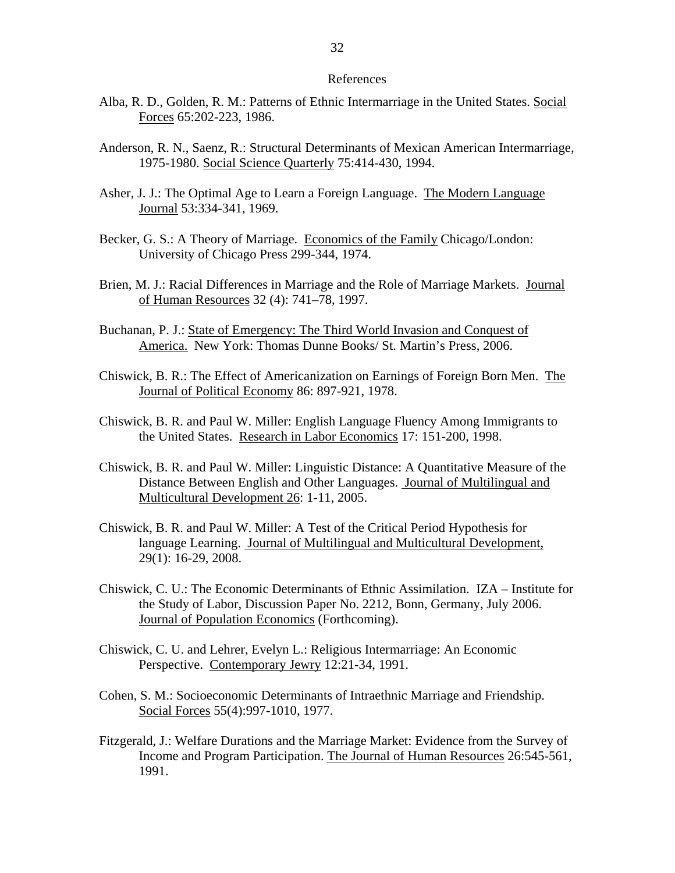#### References

- Alba, R. D., Golden, R. M.: Patterns of Ethnic Intermarriage in the United States. Social Forces 65:202-223, 1986.
- Anderson, R. N., Saenz, R.: Structural Determinants of Mexican American Intermarriage, 1975-1980. Social Science Quarterly 75:414-430, 1994.
- Asher, J. J.: The Optimal Age to Learn a Foreign Language. The Modern Language Journal 53:334-341, 1969.
- Becker, G. S.: A Theory of Marriage. Economics of the Family Chicago/London: University of Chicago Press 299-344, 1974.
- Brien, M. J.: Racial Differences in Marriage and the Role of Marriage Markets. Journal of Human Resources 32 (4): 741–78, 1997.
- Buchanan, P. J.: State of Emergency: The Third World Invasion and Conquest of America. New York: Thomas Dunne Books/ St. Martin's Press, 2006.
- Chiswick, B. R.: The Effect of Americanization on Earnings of Foreign Born Men. The Journal of Political Economy 86: 897-921, 1978.
- Chiswick, B. R. and Paul W. Miller: English Language Fluency Among Immigrants to the United States. Research in Labor Economics 17: 151-200, 1998.
- Chiswick, B. R. and Paul W. Miller: Linguistic Distance: A Quantitative Measure of the Distance Between English and Other Languages. Journal of Multilingual and Multicultural Development 26: 1-11, 2005.
- Chiswick, B. R. and Paul W. Miller: A Test of the Critical Period Hypothesis for language Learning. Journal of Multilingual and Multicultural Development, 29(1): 16-29, 2008.
- Chiswick, C. U.: The Economic Determinants of Ethnic Assimilation. IZA Institute for the Study of Labor, Discussion Paper No. 2212, Bonn, Germany, July 2006. Journal of Population Economics (Forthcoming).
- Chiswick, C. U. and Lehrer, Evelyn L.: Religious Intermarriage: An Economic Perspective. Contemporary Jewry 12:21-34, 1991.
- Cohen, S. M.: Socioeconomic Determinants of Intraethnic Marriage and Friendship. Social Forces 55(4):997-1010, 1977.
- Fitzgerald, J.: Welfare Durations and the Marriage Market: Evidence from the Survey of Income and Program Participation. The Journal of Human Resources 26:545-561, 1991.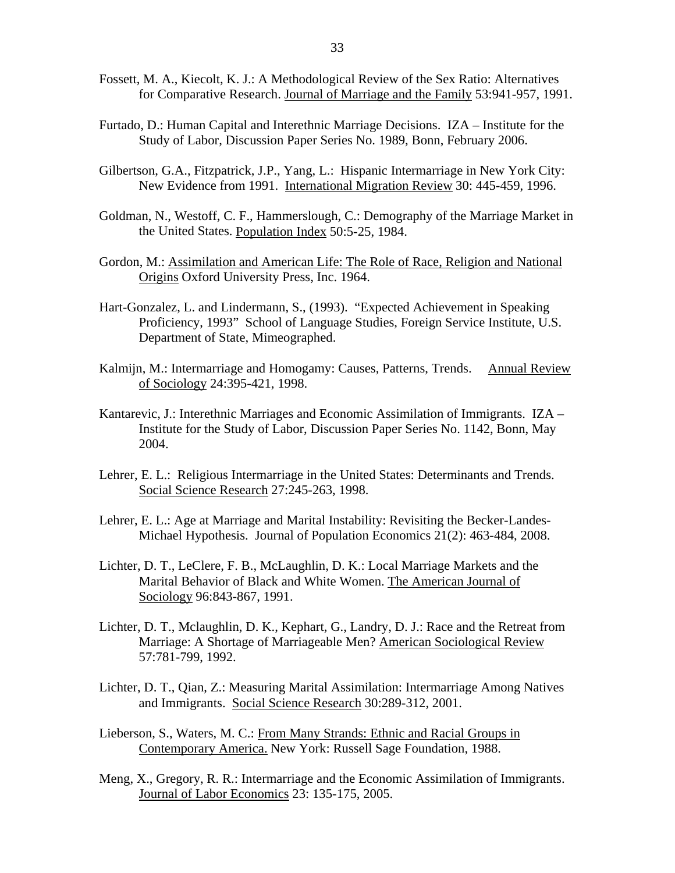- Fossett, M. A., Kiecolt, K. J.: A Methodological Review of the Sex Ratio: Alternatives for Comparative Research. Journal of Marriage and the Family 53:941-957, 1991.
- Furtado, D.: Human Capital and Interethnic Marriage Decisions. IZA Institute for the Study of Labor, Discussion Paper Series No. 1989, Bonn, February 2006.
- Gilbertson, G.A., Fitzpatrick, J.P., Yang, L.: Hispanic Intermarriage in New York City: New Evidence from 1991. International Migration Review 30: 445-459, 1996.
- Goldman, N., Westoff, C. F., Hammerslough, C.: Demography of the Marriage Market in the United States. Population Index 50:5-25, 1984.
- Gordon, M.: Assimilation and American Life: The Role of Race, Religion and National Origins Oxford University Press, Inc. 1964.
- Hart-Gonzalez, L. and Lindermann, S., (1993). "Expected Achievement in Speaking Proficiency, 1993" School of Language Studies, Foreign Service Institute, U.S. Department of State, Mimeographed.
- Kalmijn, M.: Intermarriage and Homogamy: Causes, Patterns, Trends. Annual Review of Sociology 24:395-421, 1998.
- Kantarevic, J.: Interethnic Marriages and Economic Assimilation of Immigrants. IZA Institute for the Study of Labor, Discussion Paper Series No. 1142, Bonn, May 2004.
- Lehrer, E. L.: Religious Intermarriage in the United States: Determinants and Trends. Social Science Research 27:245-263, 1998.
- Lehrer, E. L.: Age at Marriage and Marital Instability: Revisiting the Becker-Landes-Michael Hypothesis. Journal of Population Economics 21(2): 463-484, 2008.
- Lichter, D. T., LeClere, F. B., McLaughlin, D. K.: Local Marriage Markets and the Marital Behavior of Black and White Women. The American Journal of Sociology 96:843-867, 1991.
- Lichter, D. T., Mclaughlin, D. K., Kephart, G., Landry, D. J.: Race and the Retreat from Marriage: A Shortage of Marriageable Men? American Sociological Review 57:781-799, 1992.
- Lichter, D. T., Qian, Z.: Measuring Marital Assimilation: Intermarriage Among Natives and Immigrants. Social Science Research 30:289-312, 2001.
- Lieberson, S., Waters, M. C.: From Many Strands: Ethnic and Racial Groups in Contemporary America. New York: Russell Sage Foundation, 1988.
- Meng, X., Gregory, R. R.: Intermarriage and the Economic Assimilation of Immigrants. Journal of Labor Economics 23: 135-175, 2005.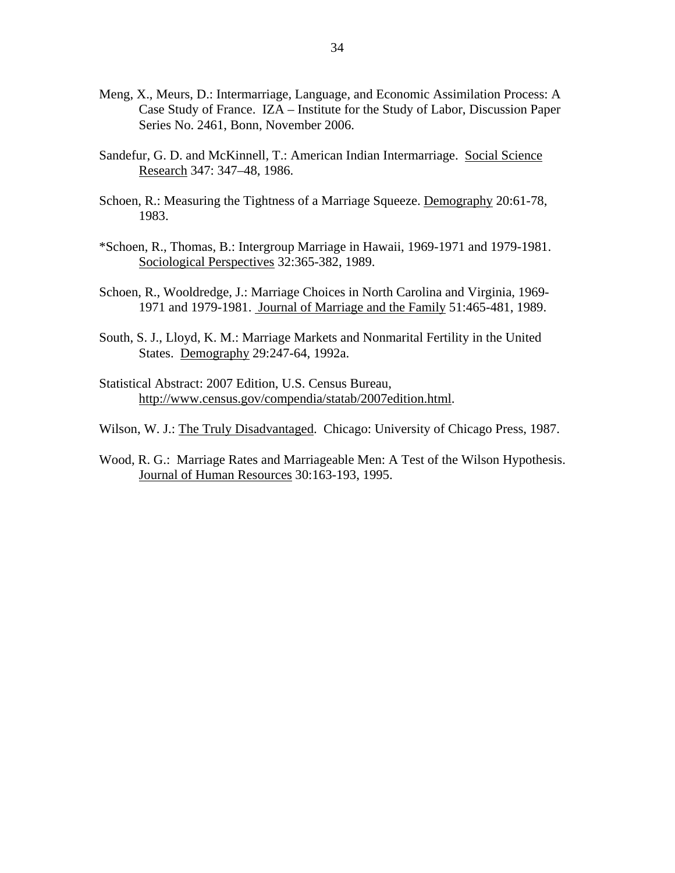- Meng, X., Meurs, D.: Intermarriage, Language, and Economic Assimilation Process: A Case Study of France. IZA – Institute for the Study of Labor, Discussion Paper Series No. 2461, Bonn, November 2006.
- Sandefur, G. D. and McKinnell, T.: American Indian Intermarriage. Social Science Research 347: 347–48, 1986.
- Schoen, R.: Measuring the Tightness of a Marriage Squeeze. Demography 20:61-78, 1983.
- \*Schoen, R., Thomas, B.: Intergroup Marriage in Hawaii, 1969-1971 and 1979-1981. Sociological Perspectives 32:365-382, 1989.
- Schoen, R., Wooldredge, J.: Marriage Choices in North Carolina and Virginia, 1969- 1971 and 1979-1981. Journal of Marriage and the Family 51:465-481, 1989.
- South, S. J., Lloyd, K. M.: Marriage Markets and Nonmarital Fertility in the United States. Demography 29:247-64, 1992a.
- Statistical Abstract: 2007 Edition, U.S. Census Bureau, [http://www.census.gov/compendia/statab/2007edition.html.](http://www.census.gov/compendia/statab/2007edition.html)
- Wilson, W. J.: The Truly Disadvantaged. Chicago: University of Chicago Press, 1987.
- Wood, R. G.: Marriage Rates and Marriageable Men: A Test of the Wilson Hypothesis. Journal of Human Resources 30:163-193, 1995.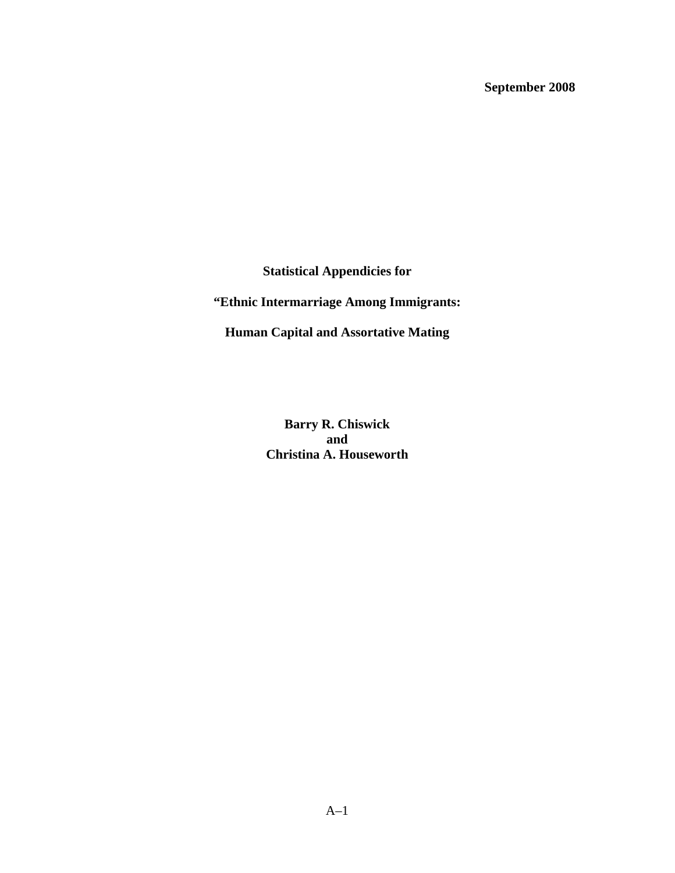**September 2008** 

**Statistical Appendicies for** 

**"Ethnic Intermarriage Among Immigrants:** 

**Human Capital and Assortative Mating** 

**Barry R. Chiswick and Christina A. Houseworth**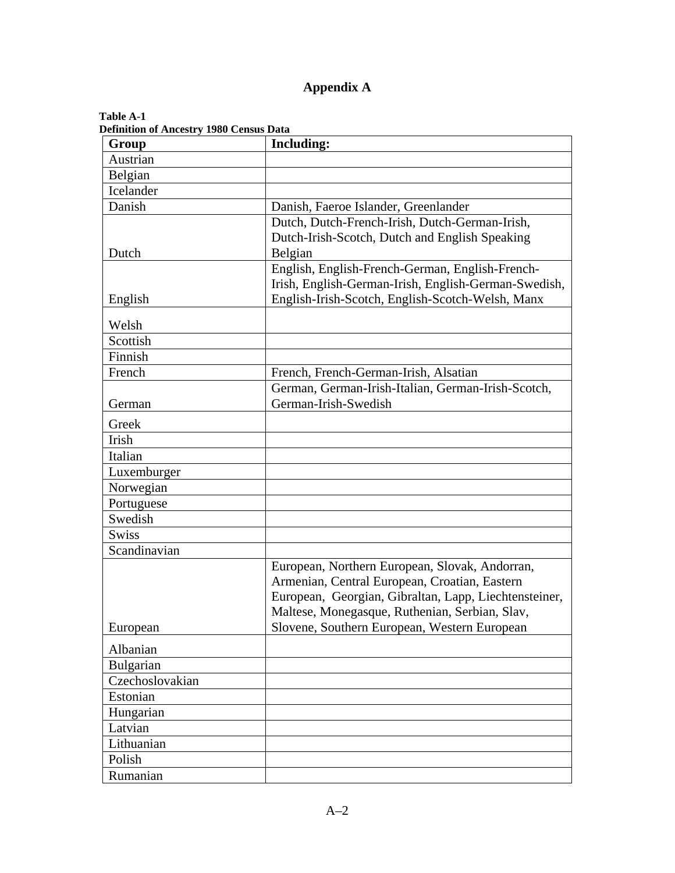# **Appendix A**

| Definition of Ancestry 1980 Census Data<br>Group | <b>Including:</b>                                     |
|--------------------------------------------------|-------------------------------------------------------|
| Austrian                                         |                                                       |
| Belgian                                          |                                                       |
| Icelander                                        |                                                       |
| Danish                                           | Danish, Faeroe Islander, Greenlander                  |
|                                                  | Dutch, Dutch-French-Irish, Dutch-German-Irish,        |
|                                                  | Dutch-Irish-Scotch, Dutch and English Speaking        |
| Dutch                                            | Belgian                                               |
|                                                  | English, English-French-German, English-French-       |
|                                                  | Irish, English-German-Irish, English-German-Swedish,  |
| English                                          | English-Irish-Scotch, English-Scotch-Welsh, Manx      |
| Welsh                                            |                                                       |
| Scottish                                         |                                                       |
| Finnish                                          |                                                       |
| French                                           | French, French-German-Irish, Alsatian                 |
|                                                  | German, German-Irish-Italian, German-Irish-Scotch,    |
| German                                           | German-Irish-Swedish                                  |
| Greek                                            |                                                       |
| Irish                                            |                                                       |
| Italian                                          |                                                       |
| Luxemburger                                      |                                                       |
| Norwegian                                        |                                                       |
| Portuguese                                       |                                                       |
| Swedish                                          |                                                       |
| <b>Swiss</b>                                     |                                                       |
| Scandinavian                                     |                                                       |
|                                                  | European, Northern European, Slovak, Andorran,        |
|                                                  | Armenian, Central European, Croatian, Eastern         |
|                                                  | European, Georgian, Gibraltan, Lapp, Liechtensteiner, |
|                                                  | Maltese, Monegasque, Ruthenian, Serbian, Slav,        |
| European                                         | Slovene, Southern European, Western European          |
| Albanian                                         |                                                       |
| Bulgarian                                        |                                                       |
| Czechoslovakian                                  |                                                       |
| Estonian                                         |                                                       |
| Hungarian                                        |                                                       |
| Latvian                                          |                                                       |
| Lithuanian                                       |                                                       |
| Polish                                           |                                                       |
| Rumanian                                         |                                                       |

#### **Table A-1 Definition of Ancestry 1980 Census Data**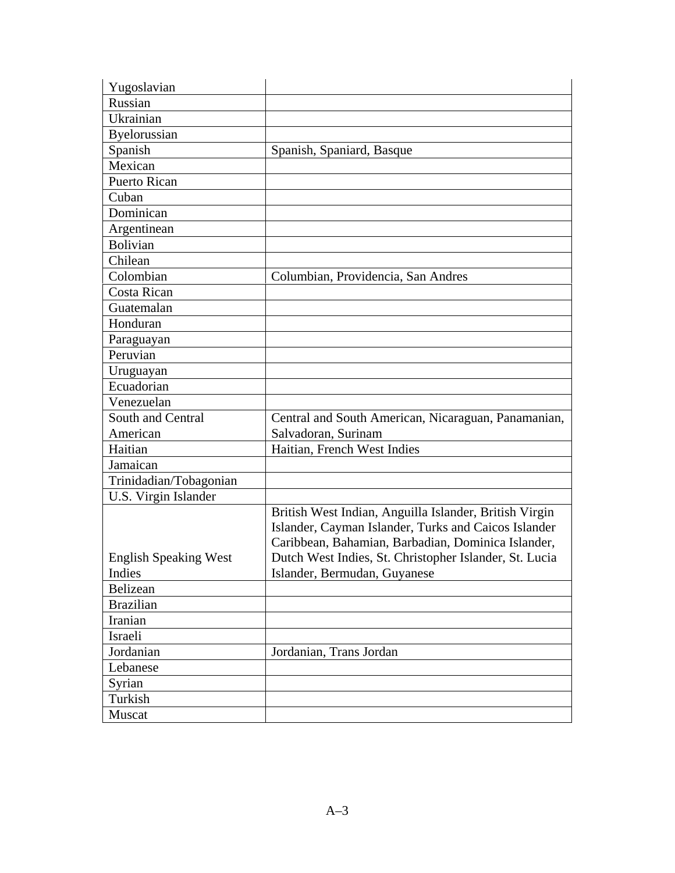| Yugoslavian                  |                                                                                                                                                                      |
|------------------------------|----------------------------------------------------------------------------------------------------------------------------------------------------------------------|
| Russian                      |                                                                                                                                                                      |
| Ukrainian                    |                                                                                                                                                                      |
| Byelorussian                 |                                                                                                                                                                      |
| Spanish                      | Spanish, Spaniard, Basque                                                                                                                                            |
| Mexican                      |                                                                                                                                                                      |
| <b>Puerto Rican</b>          |                                                                                                                                                                      |
| Cuban                        |                                                                                                                                                                      |
| Dominican                    |                                                                                                                                                                      |
| Argentinean                  |                                                                                                                                                                      |
| <b>Bolivian</b>              |                                                                                                                                                                      |
| Chilean                      |                                                                                                                                                                      |
| Colombian                    | Columbian, Providencia, San Andres                                                                                                                                   |
| Costa Rican                  |                                                                                                                                                                      |
| Guatemalan                   |                                                                                                                                                                      |
| Honduran                     |                                                                                                                                                                      |
| Paraguayan                   |                                                                                                                                                                      |
| Peruvian                     |                                                                                                                                                                      |
| Uruguayan                    |                                                                                                                                                                      |
| Ecuadorian                   |                                                                                                                                                                      |
| Venezuelan                   |                                                                                                                                                                      |
| South and Central            | Central and South American, Nicaraguan, Panamanian,                                                                                                                  |
| American                     | Salvadoran, Surinam                                                                                                                                                  |
| Haitian                      | Haitian, French West Indies                                                                                                                                          |
| Jamaican                     |                                                                                                                                                                      |
| Trinidadian/Tobagonian       |                                                                                                                                                                      |
| U.S. Virgin Islander         |                                                                                                                                                                      |
|                              | British West Indian, Anguilla Islander, British Virgin<br>Islander, Cayman Islander, Turks and Caicos Islander<br>Caribbean, Bahamian, Barbadian, Dominica Islander, |
| <b>English Speaking West</b> | Dutch West Indies, St. Christopher Islander, St. Lucia                                                                                                               |
| Indies                       | Islander, Bermudan, Guyanese                                                                                                                                         |
| Belizean                     |                                                                                                                                                                      |
| <b>Brazilian</b>             |                                                                                                                                                                      |
| Iranian                      |                                                                                                                                                                      |
| Israeli                      |                                                                                                                                                                      |
| Jordanian                    | Jordanian, Trans Jordan                                                                                                                                              |
| Lebanese                     |                                                                                                                                                                      |
| Syrian                       |                                                                                                                                                                      |
| Turkish                      |                                                                                                                                                                      |
| Muscat                       |                                                                                                                                                                      |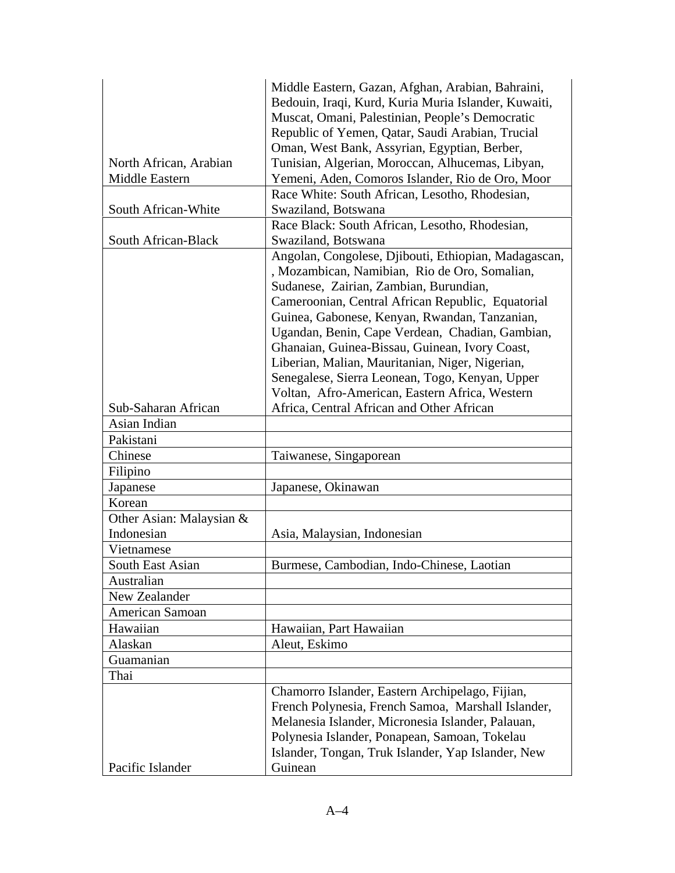|                          | Middle Eastern, Gazan, Afghan, Arabian, Bahraini,    |
|--------------------------|------------------------------------------------------|
|                          | Bedouin, Iraqi, Kurd, Kuria Muria Islander, Kuwaiti, |
|                          | Muscat, Omani, Palestinian, People's Democratic      |
|                          | Republic of Yemen, Qatar, Saudi Arabian, Trucial     |
|                          | Oman, West Bank, Assyrian, Egyptian, Berber,         |
| North African, Arabian   | Tunisian, Algerian, Moroccan, Alhucemas, Libyan,     |
| Middle Eastern           | Yemeni, Aden, Comoros Islander, Rio de Oro, Moor     |
|                          | Race White: South African, Lesotho, Rhodesian,       |
| South African-White      | Swaziland, Botswana                                  |
|                          | Race Black: South African, Lesotho, Rhodesian,       |
| South African-Black      | Swaziland, Botswana                                  |
|                          | Angolan, Congolese, Djibouti, Ethiopian, Madagascan, |
|                          | , Mozambican, Namibian, Rio de Oro, Somalian,        |
|                          | Sudanese, Zairian, Zambian, Burundian,               |
|                          | Cameroonian, Central African Republic, Equatorial    |
|                          | Guinea, Gabonese, Kenyan, Rwandan, Tanzanian,        |
|                          | Ugandan, Benin, Cape Verdean, Chadian, Gambian,      |
|                          | Ghanaian, Guinea-Bissau, Guinean, Ivory Coast,       |
|                          | Liberian, Malian, Mauritanian, Niger, Nigerian,      |
|                          | Senegalese, Sierra Leonean, Togo, Kenyan, Upper      |
|                          | Voltan, Afro-American, Eastern Africa, Western       |
| Sub-Saharan African      | Africa, Central African and Other African            |
| Asian Indian             |                                                      |
| Pakistani                |                                                      |
| Chinese                  | Taiwanese, Singaporean                               |
| Filipino                 |                                                      |
| Japanese                 | Japanese, Okinawan                                   |
| Korean                   |                                                      |
| Other Asian: Malaysian & |                                                      |
| Indonesian               | Asia, Malaysian, Indonesian                          |
| Vietnamese               |                                                      |
| South East Asian         | Burmese, Cambodian, Indo-Chinese, Laotian            |
| Australian               |                                                      |
| New Zealander            |                                                      |
| American Samoan          |                                                      |
| Hawaiian                 | Hawaiian, Part Hawaiian                              |
| Alaskan                  | Aleut, Eskimo                                        |
| Guamanian                |                                                      |
| Thai                     |                                                      |
|                          | Chamorro Islander, Eastern Archipelago, Fijian,      |
|                          | French Polynesia, French Samoa, Marshall Islander,   |
|                          | Melanesia Islander, Micronesia Islander, Palauan,    |
|                          | Polynesia Islander, Ponapean, Samoan, Tokelau        |
|                          | Islander, Tongan, Truk Islander, Yap Islander, New   |
| Pacific Islander         | Guinean                                              |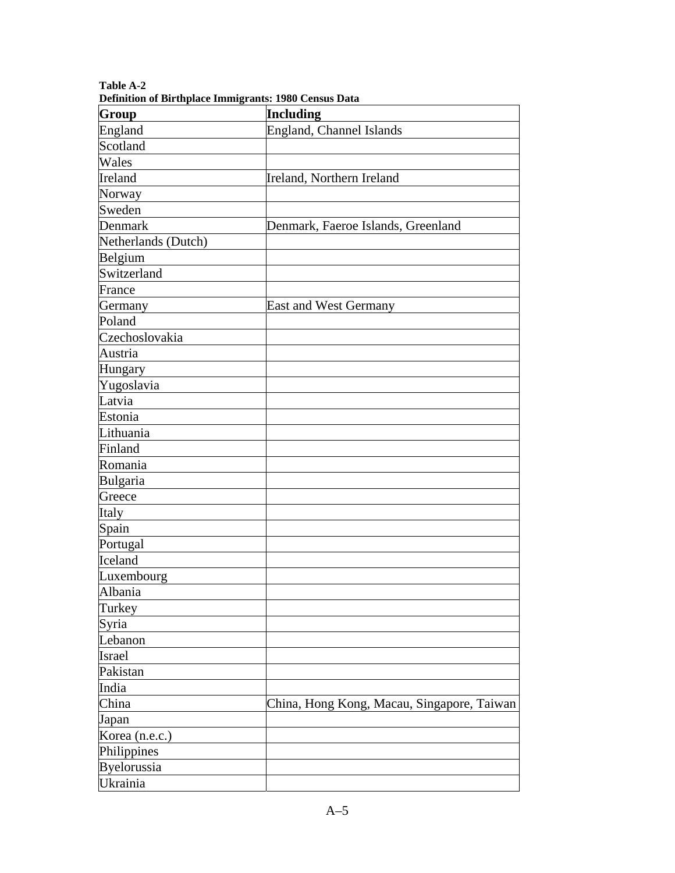| Demnuon of Dh'uipiace miningrants. 1700 Census Data<br>Group | Including                                  |
|--------------------------------------------------------------|--------------------------------------------|
| England                                                      | England, Channel Islands                   |
| Scotland                                                     |                                            |
| Wales                                                        |                                            |
| Ireland                                                      | Ireland, Northern Ireland                  |
| Norway                                                       |                                            |
| Sweden                                                       |                                            |
| Denmark                                                      | Denmark, Faeroe Islands, Greenland         |
| Netherlands (Dutch)                                          |                                            |
| Belgium                                                      |                                            |
| Switzerland                                                  |                                            |
| France                                                       |                                            |
| Germany                                                      | <b>East and West Germany</b>               |
| Poland                                                       |                                            |
| Czechoslovakia                                               |                                            |
| Austria                                                      |                                            |
| Hungary                                                      |                                            |
| Yugoslavia                                                   |                                            |
| Latvia                                                       |                                            |
| Estonia                                                      |                                            |
| Lithuania                                                    |                                            |
| Finland                                                      |                                            |
| Romania                                                      |                                            |
| Bulgaria                                                     |                                            |
| Greece                                                       |                                            |
| Italy                                                        |                                            |
| Spain                                                        |                                            |
| Portugal                                                     |                                            |
| Iceland                                                      |                                            |
| Luxembourg                                                   |                                            |
| Albania                                                      |                                            |
| Turkey                                                       |                                            |
| Syria                                                        |                                            |
| Lebanon                                                      |                                            |
| Israel                                                       |                                            |
| Pakistan                                                     |                                            |
| India                                                        |                                            |
| China                                                        | China, Hong Kong, Macau, Singapore, Taiwan |
| Japan                                                        |                                            |
| Korea (n.e.c.)                                               |                                            |
| Philippines                                                  |                                            |
| Byelorussia                                                  |                                            |
| Ukrainia                                                     |                                            |

**Table A-2 Definition of Birthplace Immigrants: 1980 Census Data**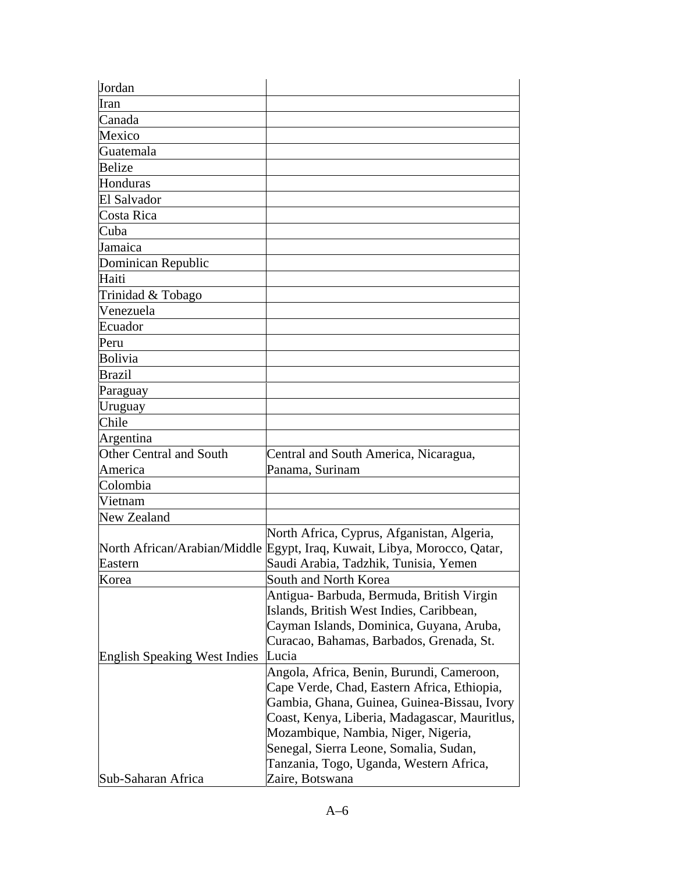| Jordan                              |                                                                          |
|-------------------------------------|--------------------------------------------------------------------------|
| Iran                                |                                                                          |
| Canada                              |                                                                          |
| Mexico                              |                                                                          |
| Guatemala                           |                                                                          |
| <b>Belize</b>                       |                                                                          |
| Honduras                            |                                                                          |
| El Salvador                         |                                                                          |
| Costa Rica                          |                                                                          |
| Cuba                                |                                                                          |
| Jamaica                             |                                                                          |
| Dominican Republic                  |                                                                          |
| Haiti                               |                                                                          |
| Trinidad & Tobago                   |                                                                          |
| Venezuela                           |                                                                          |
| Ecuador                             |                                                                          |
| Peru                                |                                                                          |
| <b>Bolivia</b>                      |                                                                          |
| <b>Brazil</b>                       |                                                                          |
| Paraguay                            |                                                                          |
| Uruguay                             |                                                                          |
| Chile                               |                                                                          |
| Argentina                           |                                                                          |
| <b>Other Central and South</b>      | Central and South America, Nicaragua,                                    |
| America                             | Panama, Surinam                                                          |
| Colombia                            |                                                                          |
| Vietnam                             |                                                                          |
| New Zealand                         |                                                                          |
|                                     | North Africa, Cyprus, Afganistan, Algeria,                               |
|                                     | North African/Arabian/Middle Egypt, Iraq, Kuwait, Libya, Morocco, Qatar, |
| Eastern                             | Saudi Arabia, Tadzhik, Tunisia, Yemen                                    |
| Korea                               | South and North Korea                                                    |
|                                     | Antigua- Barbuda, Bermuda, British Virgin                                |
|                                     | Islands, British West Indies, Caribbean,                                 |
|                                     | Cayman Islands, Dominica, Guyana, Aruba,                                 |
|                                     | Curacao, Bahamas, Barbados, Grenada, St.                                 |
| <b>English Speaking West Indies</b> | Lucia                                                                    |
|                                     | Angola, Africa, Benin, Burundi, Cameroon,                                |
|                                     | Cape Verde, Chad, Eastern Africa, Ethiopia,                              |
|                                     | Gambia, Ghana, Guinea, Guinea-Bissau, Ivory                              |
|                                     | Coast, Kenya, Liberia, Madagascar, Mauritlus,                            |
|                                     | Mozambique, Nambia, Niger, Nigeria,                                      |
|                                     | Senegal, Sierra Leone, Somalia, Sudan,                                   |
|                                     | Tanzania, Togo, Uganda, Western Africa,                                  |
| Sub-Saharan Africa                  | Zaire, Botswana                                                          |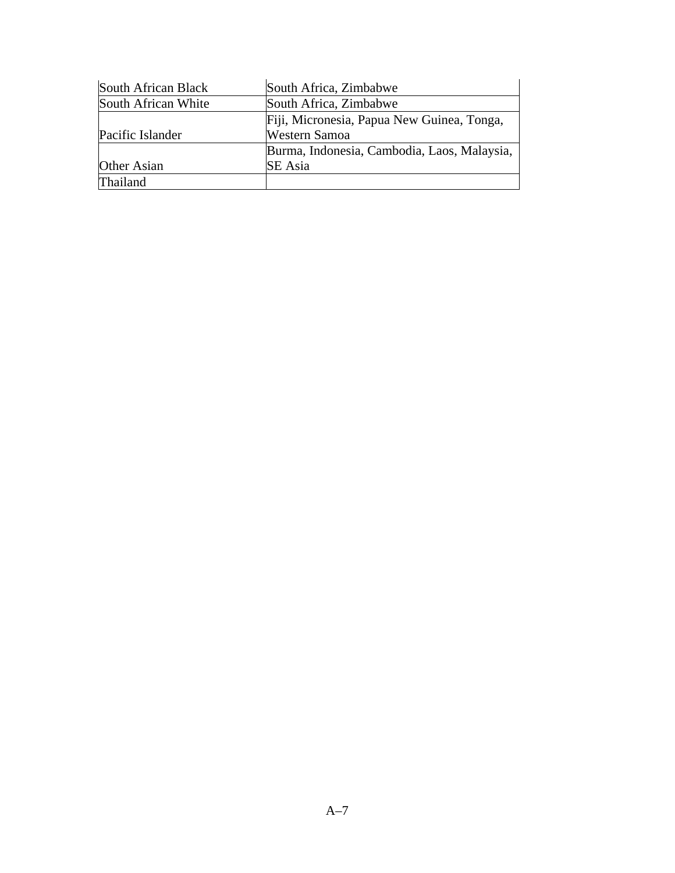| South African Black | South Africa, Zimbabwe                      |
|---------------------|---------------------------------------------|
| South African White | South Africa, Zimbabwe                      |
|                     | Fiji, Micronesia, Papua New Guinea, Tonga,  |
| Pacific Islander    | Western Samoa                               |
|                     | Burma, Indonesia, Cambodia, Laos, Malaysia, |
| Other Asian         | <b>SE</b> Asia                              |
| <b>Thailand</b>     |                                             |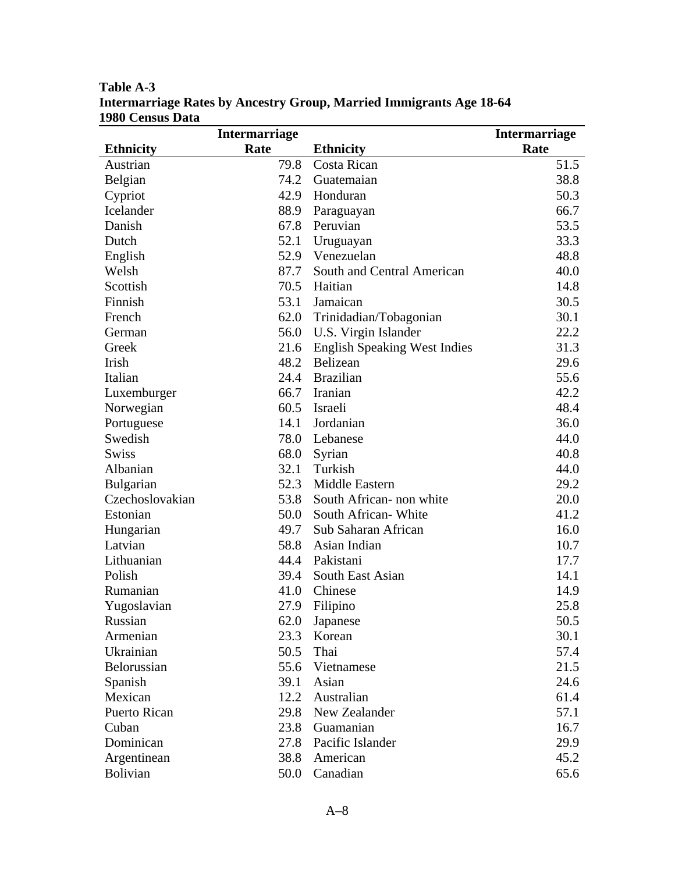| <b>Intermarriage</b> |      |                                   | <b>Intermarriage</b> |
|----------------------|------|-----------------------------------|----------------------|
| <b>Ethnicity</b>     | Rate | <b>Ethnicity</b>                  | Rate                 |
| Austrian             | 79.8 | Costa Rican                       | 51.5                 |
| Belgian              |      | 74.2 Guatemaian                   | 38.8                 |
| Cypriot              |      | 42.9 Honduran                     | 50.3                 |
| Icelander            | 88.9 | Paraguayan                        | 66.7                 |
| Danish               |      | 67.8 Peruvian                     | 53.5                 |
| Dutch                |      | 52.1 Uruguayan                    | 33.3                 |
| English              |      | 52.9 Venezuelan                   | 48.8                 |
| Welsh                | 87.7 | South and Central American        | 40.0                 |
| Scottish             |      | 70.5 Haitian                      | 14.8                 |
| Finnish              | 53.1 | Jamaican                          | 30.5                 |
| French               |      | 62.0 Trinidadian/Tobagonian       | 30.1                 |
| German               |      | 56.0 U.S. Virgin Islander         | 22.2                 |
| Greek                |      | 21.6 English Speaking West Indies | 31.3                 |
| Irish                |      | 48.2 Belizean                     | 29.6                 |
| Italian              |      | 24.4 Brazilian                    | 55.6                 |
| Luxemburger          |      | 66.7 Iranian                      | 42.2                 |
| Norwegian            |      | 60.5 Israeli                      | 48.4                 |
| Portuguese           | 14.1 | Jordanian                         | 36.0                 |
| Swedish              |      | 78.0 Lebanese                     | 44.0                 |
| <b>Swiss</b>         | 68.0 | Syrian                            | 40.8                 |
| Albanian             |      | 32.1 Turkish                      | 44.0                 |
| <b>Bulgarian</b>     |      | 52.3 Middle Eastern               | 29.2                 |
| Czechoslovakian      | 53.8 | South African- non white          | 20.0                 |
| Estonian             | 50.0 | South African-White               | 41.2                 |
| Hungarian            | 49.7 | Sub Saharan African               | 16.0                 |
| Latvian              | 58.8 | Asian Indian                      | 10.7                 |
| Lithuanian           |      | 44.4 Pakistani                    | 17.7                 |
| Polish               | 39.4 | South East Asian                  | 14.1                 |
| Rumanian             |      | 41.0 Chinese                      | 14.9                 |
| Yugoslavian          |      | 27.9 Filipino                     | 25.8                 |
| Russian              |      | 62.0 Japanese                     | 50.5                 |
| Armenian             | 23.3 | Korean                            | 30.1                 |
| Ukrainian            | 50.5 | Thai                              | 57.4                 |
| Belorussian          | 55.6 | Vietnamese                        | 21.5                 |
| Spanish              | 39.1 | Asian                             | 24.6                 |
| Mexican              | 12.2 | Australian                        | 61.4                 |
| Puerto Rican         |      | 29.8 New Zealander                | 57.1                 |
| Cuban                |      | 23.8 Guamanian                    | 16.7                 |
| Dominican            |      | 27.8 Pacific Islander             | 29.9                 |
| Argentinean          | 38.8 | American                          | 45.2                 |
| <b>Bolivian</b>      | 50.0 | Canadian                          | 65.6                 |

**Table A-3 Intermarriage Rates by Ancestry Group, Married Immigrants Age 18-64 1980 Census Data**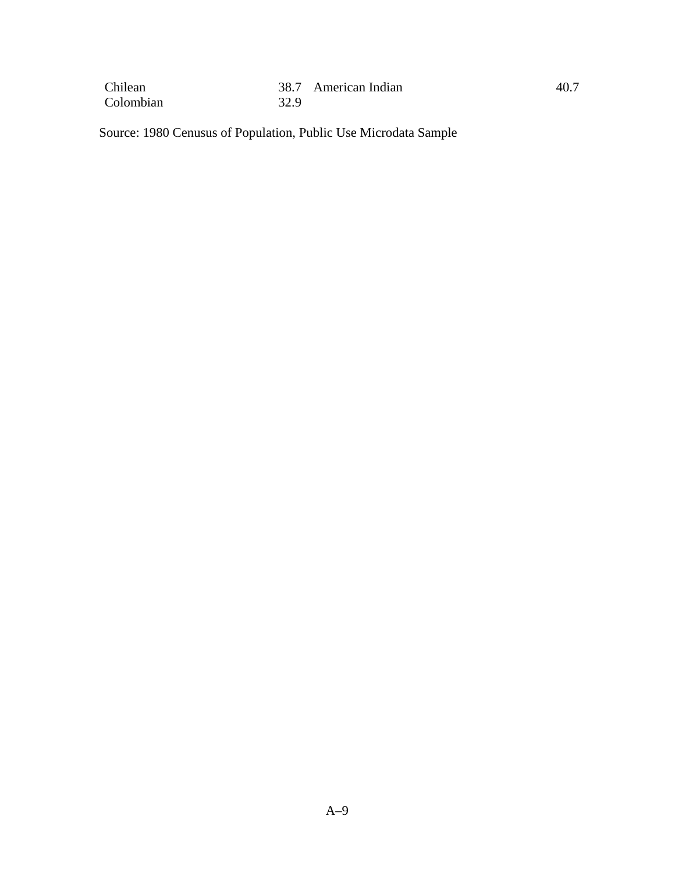| Chilean   |      | 38.7 American Indian | 40.7 |
|-----------|------|----------------------|------|
| Colombian | 32.9 |                      |      |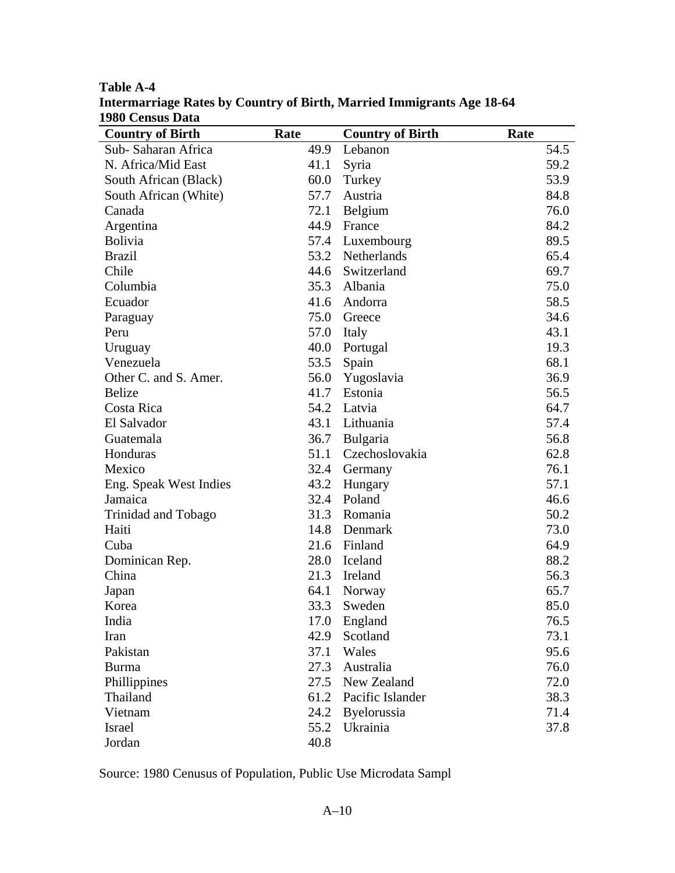| 1700 CUBUS DATA<br><b>Country of Birth</b> | Rate | <b>Country of Birth</b> | Rate |
|--------------------------------------------|------|-------------------------|------|
| Sub-Saharan Africa                         | 49.9 | Lebanon                 | 54.5 |
| N. Africa/Mid East                         | 41.1 | Syria                   | 59.2 |
| South African (Black)                      | 60.0 | Turkey                  | 53.9 |
| South African (White)                      | 57.7 | Austria                 | 84.8 |
| Canada                                     | 72.1 | Belgium                 | 76.0 |
| Argentina                                  | 44.9 | France                  | 84.2 |
| <b>Bolivia</b>                             | 57.4 | Luxembourg              | 89.5 |
| <b>Brazil</b>                              | 53.2 | Netherlands             | 65.4 |
| Chile                                      | 44.6 | Switzerland             | 69.7 |
| Columbia                                   | 35.3 | Albania                 | 75.0 |
| Ecuador                                    | 41.6 | Andorra                 | 58.5 |
| Paraguay                                   |      | 75.0 Greece             | 34.6 |
| Peru                                       | 57.0 | Italy                   | 43.1 |
| Uruguay                                    | 40.0 | Portugal                | 19.3 |
| Venezuela                                  | 53.5 | Spain                   | 68.1 |
| Other C. and S. Amer.                      | 56.0 | Yugoslavia              | 36.9 |
| <b>Belize</b>                              | 41.7 | Estonia                 | 56.5 |
| Costa Rica                                 |      | 54.2 Latvia             | 64.7 |
| El Salvador                                |      | 43.1 Lithuania          | 57.4 |
| Guatemala                                  | 36.7 | Bulgaria                | 56.8 |
| Honduras                                   | 51.1 | Czechoslovakia          | 62.8 |
| Mexico                                     | 32.4 | Germany                 | 76.1 |
| Eng. Speak West Indies                     | 43.2 | Hungary                 | 57.1 |
| Jamaica                                    | 32.4 | Poland                  | 46.6 |
| Trinidad and Tobago                        | 31.3 | Romania                 | 50.2 |
| Haiti                                      | 14.8 | Denmark                 | 73.0 |
| Cuba                                       | 21.6 | Finland                 | 64.9 |
| Dominican Rep.                             | 28.0 | Iceland                 | 88.2 |
| China                                      | 21.3 | Ireland                 | 56.3 |
| Japan                                      | 64.1 | Norway                  | 65.7 |
| Korea                                      | 33.3 | Sweden                  | 85.0 |
| India                                      | 17.0 | England                 | 76.5 |
| Iran                                       | 42.9 | Scotland                | 73.1 |
| Pakistan                                   | 37.1 | Wales                   | 95.6 |
| <b>Burma</b>                               | 27.3 | Australia               | 76.0 |
| Phillippines                               | 27.5 | New Zealand             | 72.0 |
| Thailand                                   | 61.2 | Pacific Islander        | 38.3 |
| Vietnam                                    | 24.2 | Byelorussia             | 71.4 |
| Israel                                     | 55.2 | Ukrainia                | 37.8 |
| Jordan                                     | 40.8 |                         |      |

**Table A-4 Intermarriage Rates by Country of Birth, Married Immigrants Age 18-64 1980 Census Data**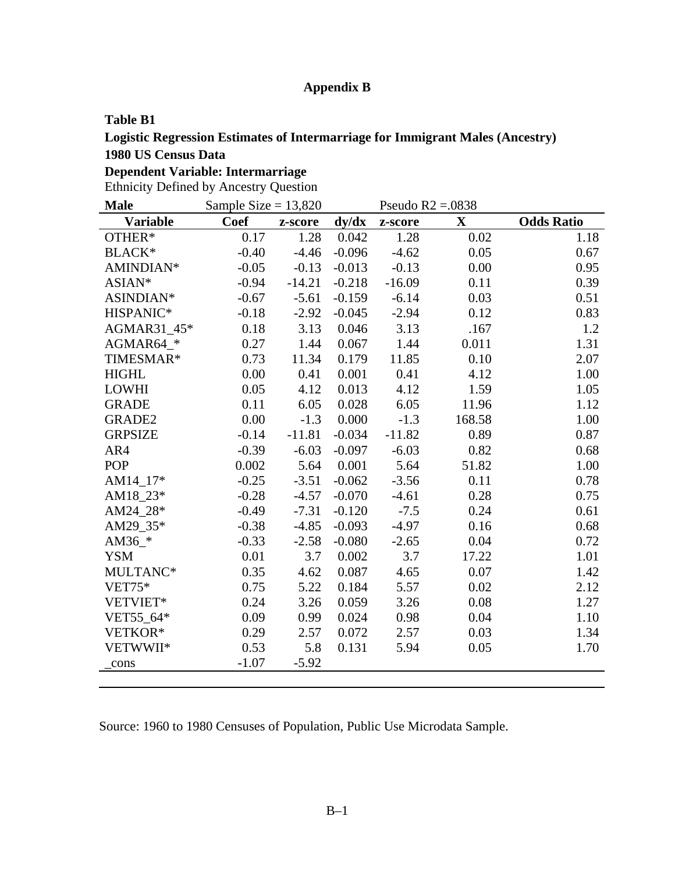# **Appendix B**

#### **Table B1**

# **Logistic Regression Estimates of Intermarriage for Immigrant Males (Ancestry)**

# **1980 US Census Data**

# **Dependent Variable: Intermarriage**

Ethnicity Defined by Ancestry Question

| <b>Male</b>     | Sample Size = $13,820$ |          |          |          | Pseudo $R2 = 0.0838$ |                   |
|-----------------|------------------------|----------|----------|----------|----------------------|-------------------|
| <b>Variable</b> | <b>Coef</b>            | z-score  | dy/dx    | z-score  | $\mathbf{X}$         | <b>Odds Ratio</b> |
| OTHER*          | 0.17                   | 1.28     | 0.042    | 1.28     | 0.02                 | 1.18              |
| <b>BLACK*</b>   | $-0.40$                | $-4.46$  | $-0.096$ | $-4.62$  | 0.05                 | 0.67              |
| AMINDIAN*       | $-0.05$                | $-0.13$  | $-0.013$ | $-0.13$  | 0.00                 | 0.95              |
| ASIAN*          | $-0.94$                | $-14.21$ | $-0.218$ | $-16.09$ | 0.11                 | 0.39              |
| ASINDIAN*       | $-0.67$                | $-5.61$  | $-0.159$ | $-6.14$  | 0.03                 | 0.51              |
| HISPANIC*       | $-0.18$                | $-2.92$  | $-0.045$ | $-2.94$  | 0.12                 | 0.83              |
| AGMAR31_45*     | 0.18                   | 3.13     | 0.046    | 3.13     | .167                 | 1.2               |
| AGMAR64_*       | 0.27                   | 1.44     | 0.067    | 1.44     | 0.011                | 1.31              |
| TIMESMAR*       | 0.73                   | 11.34    | 0.179    | 11.85    | 0.10                 | 2.07              |
| <b>HIGHL</b>    | 0.00                   | 0.41     | 0.001    | 0.41     | 4.12                 | 1.00              |
| <b>LOWHI</b>    | 0.05                   | 4.12     | 0.013    | 4.12     | 1.59                 | 1.05              |
| <b>GRADE</b>    | 0.11                   | 6.05     | 0.028    | 6.05     | 11.96                | 1.12              |
| <b>GRADE2</b>   | 0.00                   | $-1.3$   | 0.000    | $-1.3$   | 168.58               | 1.00              |
| <b>GRPSIZE</b>  | $-0.14$                | $-11.81$ | $-0.034$ | $-11.82$ | 0.89                 | 0.87              |
| AR4             | $-0.39$                | $-6.03$  | $-0.097$ | $-6.03$  | 0.82                 | 0.68              |
| <b>POP</b>      | 0.002                  | 5.64     | 0.001    | 5.64     | 51.82                | 1.00              |
| AM14_17*        | $-0.25$                | $-3.51$  | $-0.062$ | $-3.56$  | 0.11                 | 0.78              |
| AM18 23*        | $-0.28$                | $-4.57$  | $-0.070$ | $-4.61$  | 0.28                 | 0.75              |
| AM24 28*        | $-0.49$                | $-7.31$  | $-0.120$ | $-7.5$   | 0.24                 | 0.61              |
| AM29 35*        | $-0.38$                | $-4.85$  | $-0.093$ | $-4.97$  | 0.16                 | 0.68              |
| AM36_*          | $-0.33$                | $-2.58$  | $-0.080$ | $-2.65$  | 0.04                 | 0.72              |
| <b>YSM</b>      | 0.01                   | 3.7      | 0.002    | 3.7      | 17.22                | 1.01              |
| MULTANC*        | 0.35                   | 4.62     | 0.087    | 4.65     | 0.07                 | 1.42              |
| $VET75*$        | 0.75                   | 5.22     | 0.184    | 5.57     | 0.02                 | 2.12              |
| VETVIET*        | 0.24                   | 3.26     | 0.059    | 3.26     | 0.08                 | 1.27              |
| VET55_64*       | 0.09                   | 0.99     | 0.024    | 0.98     | 0.04                 | 1.10              |
| VETKOR*         | 0.29                   | 2.57     | 0.072    | 2.57     | 0.03                 | 1.34              |
| VETWWII*        | 0.53                   | 5.8      | 0.131    | 5.94     | 0.05                 | 1.70              |
| cons            | $-1.07$                | $-5.92$  |          |          |                      |                   |
|                 |                        |          |          |          |                      |                   |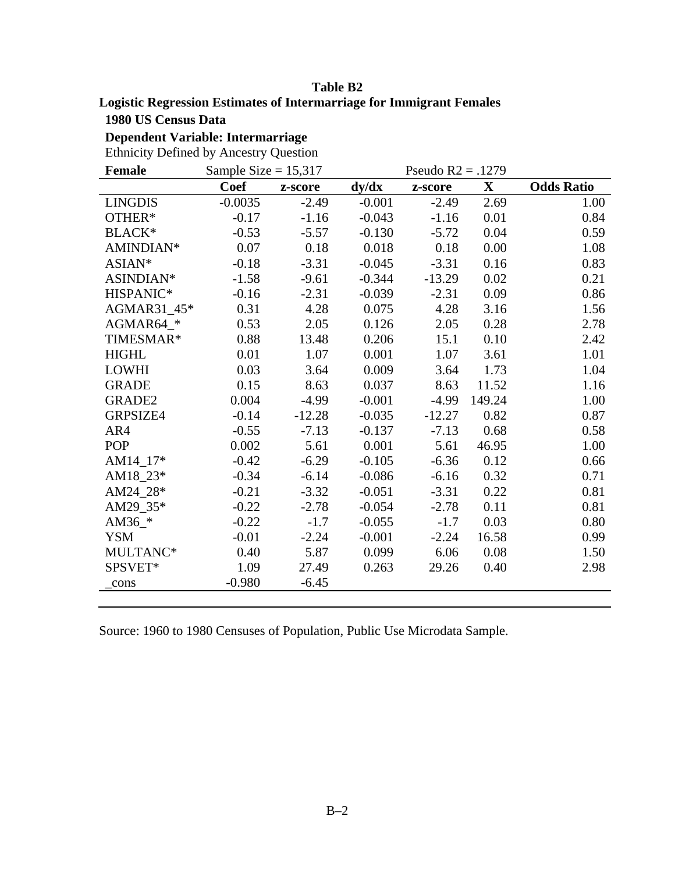### **Table B2**

### **Logistic Regression Estimates of Intermarriage for Immigrant Females**

**1980 US Census Data** 

**Dependent Variable: Intermarriage** 

Ethnicity Defined by Ancestry Question

| <b>Female</b>  | Sample Size = $15,317$ |          |          | Pseudo $R2 = .1279$ |             |                   |
|----------------|------------------------|----------|----------|---------------------|-------------|-------------------|
|                | <b>Coef</b>            | z-score  | dy/dx    | z-score             | $\mathbf X$ | <b>Odds Ratio</b> |
| <b>LINGDIS</b> | $-0.0035$              | $-2.49$  | $-0.001$ | $-2.49$             | 2.69        | 1.00              |
| OTHER*         | $-0.17$                | $-1.16$  | $-0.043$ | $-1.16$             | 0.01        | 0.84              |
| <b>BLACK*</b>  | $-0.53$                | $-5.57$  | $-0.130$ | $-5.72$             | 0.04        | 0.59              |
| AMINDIAN*      | 0.07                   | 0.18     | 0.018    | 0.18                | 0.00        | 1.08              |
| ASIAN*         | $-0.18$                | $-3.31$  | $-0.045$ | $-3.31$             | 0.16        | 0.83              |
| ASINDIAN*      | $-1.58$                | $-9.61$  | $-0.344$ | $-13.29$            | 0.02        | 0.21              |
| HISPANIC*      | $-0.16$                | $-2.31$  | $-0.039$ | $-2.31$             | 0.09        | 0.86              |
| AGMAR31_45*    | 0.31                   | 4.28     | 0.075    | 4.28                | 3.16        | 1.56              |
| AGMAR64_*      | 0.53                   | 2.05     | 0.126    | 2.05                | 0.28        | 2.78              |
| TIMESMAR*      | 0.88                   | 13.48    | 0.206    | 15.1                | 0.10        | 2.42              |
| <b>HIGHL</b>   | 0.01                   | 1.07     | 0.001    | 1.07                | 3.61        | 1.01              |
| <b>LOWHI</b>   | 0.03                   | 3.64     | 0.009    | 3.64                | 1.73        | 1.04              |
| <b>GRADE</b>   | 0.15                   | 8.63     | 0.037    | 8.63                | 11.52       | 1.16              |
| GRADE2         | 0.004                  | $-4.99$  | $-0.001$ | $-4.99$             | 149.24      | 1.00              |
| GRPSIZE4       | $-0.14$                | $-12.28$ | $-0.035$ | $-12.27$            | 0.82        | 0.87              |
| AR4            | $-0.55$                | $-7.13$  | $-0.137$ | $-7.13$             | 0.68        | 0.58              |
| <b>POP</b>     | 0.002                  | 5.61     | 0.001    | 5.61                | 46.95       | 1.00              |
| AM14_17 $*$    | $-0.42$                | $-6.29$  | $-0.105$ | $-6.36$             | 0.12        | 0.66              |
| AM18_23*       | $-0.34$                | $-6.14$  | $-0.086$ | $-6.16$             | 0.32        | 0.71              |
| AM24_28*       | $-0.21$                | $-3.32$  | $-0.051$ | $-3.31$             | 0.22        | 0.81              |
| AM29_35*       | $-0.22$                | $-2.78$  | $-0.054$ | $-2.78$             | 0.11        | 0.81              |
| AM36 $*$       | $-0.22$                | $-1.7$   | $-0.055$ | $-1.7$              | 0.03        | 0.80              |
| <b>YSM</b>     | $-0.01$                | $-2.24$  | $-0.001$ | $-2.24$             | 16.58       | 0.99              |
| MULTANC*       | 0.40                   | 5.87     | 0.099    | 6.06                | 0.08        | 1.50              |
| SPSVET*        | 1.09                   | 27.49    | 0.263    | 29.26               | 0.40        | 2.98              |
| _cons          | $-0.980$               | $-6.45$  |          |                     |             |                   |
|                |                        |          |          |                     |             |                   |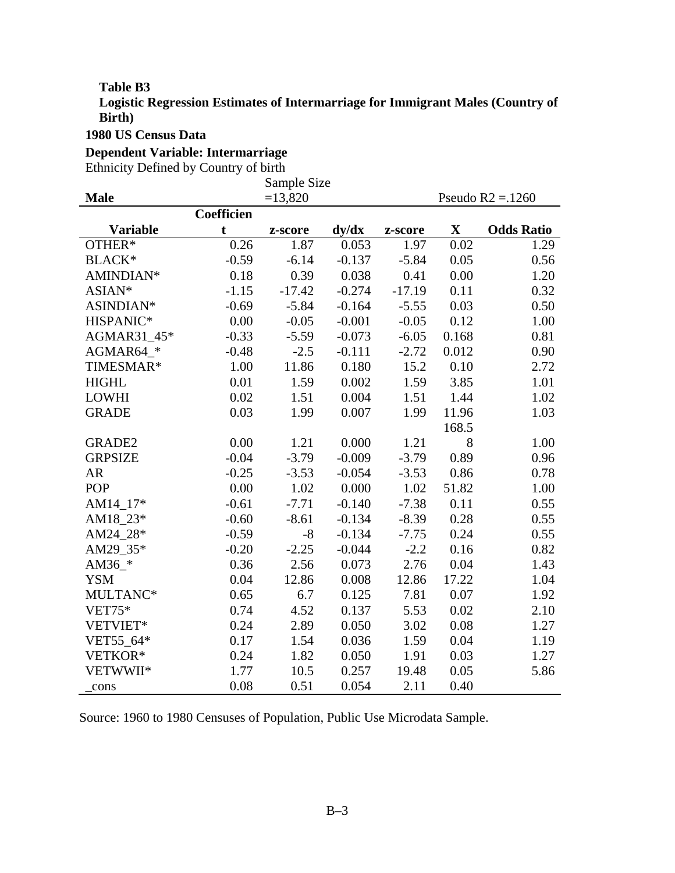#### **Table B3**

**Logistic Regression Estimates of Intermarriage for Immigrant Males (Country of Birth)** 

### **1980 US Census Data**

#### **Dependent Variable: Intermarriage**

Ethnicity Defined by Country of birth

|                 |            | Sample Size |                 |          |             |                    |
|-----------------|------------|-------------|-----------------|----------|-------------|--------------------|
| <b>Male</b>     |            | $=13,820$   |                 |          |             | Pseudo $R2 = 1260$ |
|                 | Coefficien |             |                 |          |             |                    |
| <b>Variable</b> | t          | z-score     | $\frac{dy}{dx}$ | z-score  | $\mathbf X$ | <b>Odds Ratio</b>  |
| OTHER*          | 0.26       | 1.87        | 0.053           | 1.97     | 0.02        | 1.29               |
| <b>BLACK*</b>   | $-0.59$    | $-6.14$     | $-0.137$        | $-5.84$  | 0.05        | 0.56               |
| AMINDIAN*       | 0.18       | 0.39        | 0.038           | 0.41     | 0.00        | 1.20               |
| ASIAN*          | $-1.15$    | $-17.42$    | $-0.274$        | $-17.19$ | 0.11        | 0.32               |
| ASINDIAN*       | $-0.69$    | $-5.84$     | $-0.164$        | $-5.55$  | 0.03        | 0.50               |
| HISPANIC*       | 0.00       | $-0.05$     | $-0.001$        | $-0.05$  | 0.12        | 1.00               |
| AGMAR31_45*     | $-0.33$    | $-5.59$     | $-0.073$        | $-6.05$  | 0.168       | 0.81               |
| AGMAR64_*       | $-0.48$    | $-2.5$      | $-0.111$        | $-2.72$  | 0.012       | 0.90               |
| TIMESMAR*       | 1.00       | 11.86       | 0.180           | 15.2     | 0.10        | 2.72               |
| <b>HIGHL</b>    | 0.01       | 1.59        | 0.002           | 1.59     | 3.85        | 1.01               |
| <b>LOWHI</b>    | 0.02       | 1.51        | 0.004           | 1.51     | 1.44        | 1.02               |
| <b>GRADE</b>    | 0.03       | 1.99        | 0.007           | 1.99     | 11.96       | 1.03               |
|                 |            |             |                 |          | 168.5       |                    |
| <b>GRADE2</b>   | 0.00       | 1.21        | 0.000           | 1.21     | 8           | 1.00               |
| <b>GRPSIZE</b>  | $-0.04$    | $-3.79$     | $-0.009$        | $-3.79$  | 0.89        | 0.96               |
| AR              | $-0.25$    | $-3.53$     | $-0.054$        | $-3.53$  | 0.86        | 0.78               |
| <b>POP</b>      | 0.00       | 1.02        | 0.000           | 1.02     | 51.82       | 1.00               |
| AM14_17*        | $-0.61$    | $-7.71$     | $-0.140$        | $-7.38$  | 0.11        | 0.55               |
| AM18_23*        | $-0.60$    | $-8.61$     | $-0.134$        | $-8.39$  | 0.28        | 0.55               |
| AM24_28*        | $-0.59$    | $-8$        | $-0.134$        | $-7.75$  | 0.24        | 0.55               |
| AM29_35*        | $-0.20$    | $-2.25$     | $-0.044$        | $-2.2$   | 0.16        | 0.82               |
| AM36 $*$        | 0.36       | 2.56        | 0.073           | 2.76     | 0.04        | 1.43               |
| <b>YSM</b>      | 0.04       | 12.86       | 0.008           | 12.86    | 17.22       | 1.04               |
| MULTANC*        | 0.65       | 6.7         | 0.125           | 7.81     | 0.07        | 1.92               |
| <b>VET75*</b>   | 0.74       | 4.52        | 0.137           | 5.53     | 0.02        | 2.10               |
| VETVIET*        | 0.24       | 2.89        | 0.050           | 3.02     | 0.08        | 1.27               |
| VET55_64*       | 0.17       | 1.54        | 0.036           | 1.59     | 0.04        | 1.19               |
| VETKOR*         | 0.24       | 1.82        | 0.050           | 1.91     | 0.03        | 1.27               |
| VETWWII*        | 1.77       | 10.5        | 0.257           | 19.48    | 0.05        | 5.86               |
| cons            | 0.08       | 0.51        | 0.054           | 2.11     | 0.40        |                    |